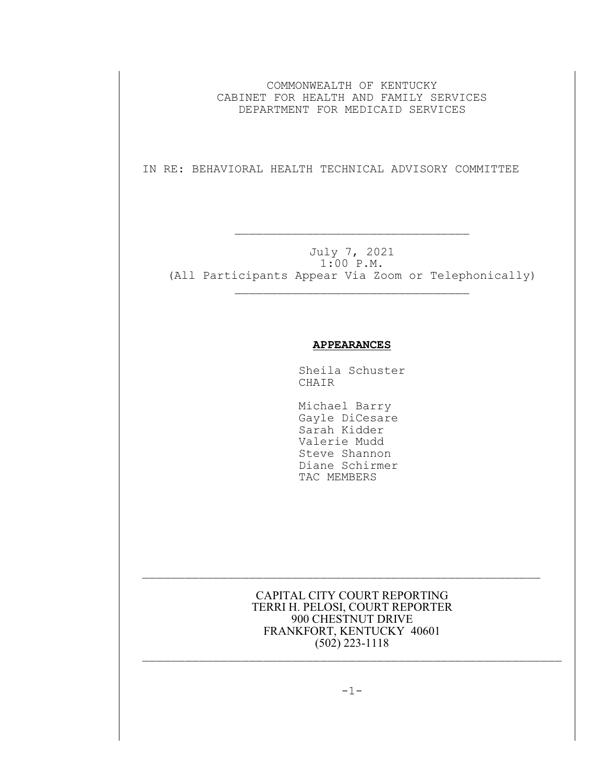COMMONWEALTH OF KENTUCKY CABINET FOR HEALTH AND FAMILY SERVICES DEPARTMENT FOR MEDICAID SERVICES

IN RE: BEHAVIORAL HEALTH TECHNICAL ADVISORY COMMITTEE

 $\mathcal{L}_\text{max}$  and the contract of the contract of the contract of the contract of the contract of the contract of the contract of the contract of the contract of the contract of the contract of the contract of the contrac

July 7, 2021 1:00 P.M. (All Participants Appear Via Zoom or Telephonically)

 $\mathcal{L}_\text{max}$ 

## **APPEARANCES**

Sheila Schuster CHAIR

 Michael Barry Gayle DiCesare Sarah Kidder Valerie Mudd Steve Shannon Diane Schirmer TAC MEMBERS

CAPITAL CITY COURT REPORTING TERRI H. PELOSI, COURT REPORTER 900 CHESTNUT DRIVE FRANKFORT, KENTUCKY 40601 (502) 223-1118

 $\mathcal{L}_\text{max}$  and the contract of the contract of the contract of the contract of the contract of the contract of

 $\mathcal{L}_\text{max}$  and the contract of the contract of the contract of the contract of the contract of the contract of

 $-1-$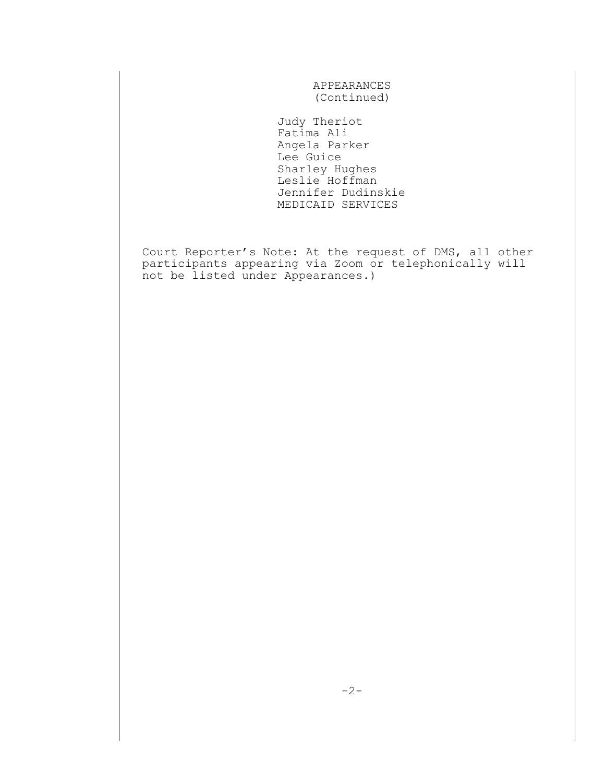APPEARANCES (Continued)

 Judy Theriot Fatima Ali Angela Parker Lee Guice Sharley Hughes Leslie Hoffman Jennifer Dudinskie MEDICAID SERVICES

Court Reporter's Note: At the request of DMS, all other participants appearing via Zoom or telephonically will not be listed under Appearances.)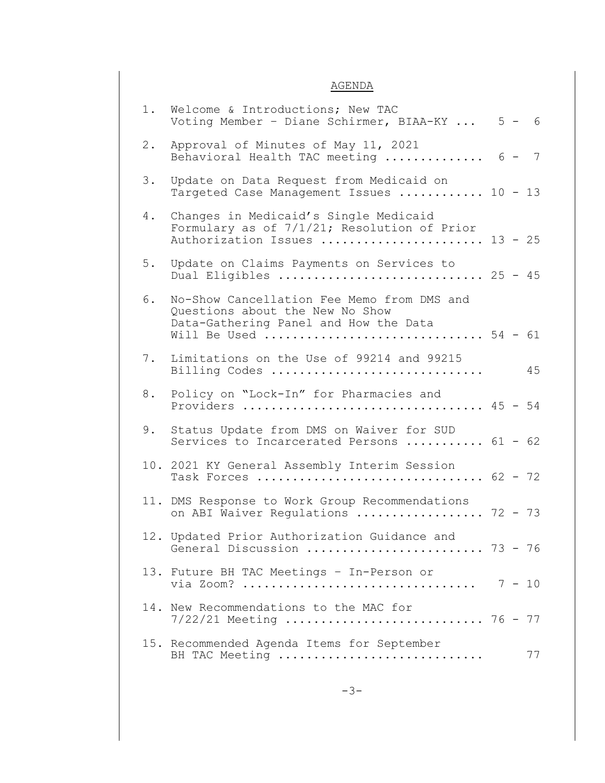## AGENDA

| 1. | Welcome & Introductions; New TAC<br>Voting Member - Diane Schirmer, BIAA-KY $5 - 6$                                                             |
|----|-------------------------------------------------------------------------------------------------------------------------------------------------|
| 2. | Approval of Minutes of May 11, 2021<br>Behavioral Health TAC meeting  6 - 7                                                                     |
| 3. | Update on Data Request from Medicaid on<br>Targeted Case Management Issues  10 - 13                                                             |
| 4. | Changes in Medicaid's Single Medicaid<br>Formulary as of 7/1/21; Resolution of Prior<br>Authorization Issues  13 - 25                           |
| 5. | Update on Claims Payments on Services to<br>Dual Eligibles  25 - 45                                                                             |
| 6. | No-Show Cancellation Fee Memo from DMS and<br>Questions about the New No Show<br>Data-Gathering Panel and How the Data<br>Will Be Used  54 - 61 |
| 7. | Limitations on the Use of 99214 and 99215<br>45<br>Billing Codes                                                                                |
| 8. | Policy on "Lock-In" for Pharmacies and<br>Providers  45 - 54                                                                                    |
| 9. | Status Update from DMS on Waiver for SUD<br>Services to Incarcerated Persons  61 - 62                                                           |
|    | 10. 2021 KY General Assembly Interim Session<br>Task Forces  62 - 72                                                                            |
|    | 11. DMS Response to Work Group Recommendations<br>on ABI Waiver Regulations  72 - 73                                                            |
|    | 12. Updated Prior Authorization Guidance and<br>General Discussion  73 - 76                                                                     |
|    | 13. Future BH TAC Meetings - In-Person or                                                                                                       |
|    | 14. New Recommendations to the MAC for<br>7/22/21 Meeting  76 - 77                                                                              |
|    | 15. Recommended Agenda Items for September<br>BH TAC Meeting<br>77                                                                              |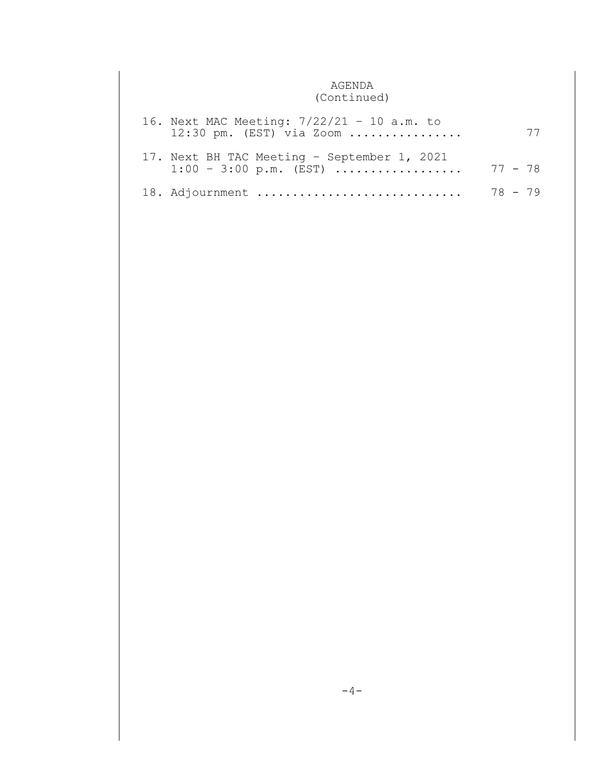## AGENDA (Continued)

| 16. Next MAC Meeting: 7/22/21 - 10 a.m. to<br>$12:30$ pm. (EST) via Zoom        |         |  |
|---------------------------------------------------------------------------------|---------|--|
| 17. Next BH TAC Meeting - September 1, 2021<br>$1:00 - 3:00 \text{ p.m.}$ (EST) | 77 - 78 |  |
| 18. Adjournment                                                                 | 78 - 79 |  |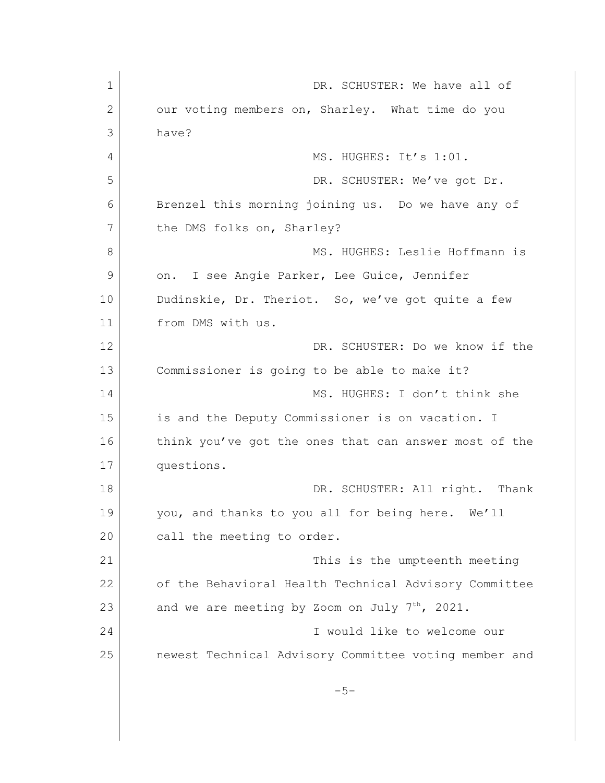1 DR. SCHUSTER: We have all of 2 our voting members on, Sharley. What time do you 3 have? 4 MS. HUGHES: It's 1:01. 5 DR. SCHUSTER: We've got Dr. 6 Brenzel this morning joining us. Do we have any of 7 the DMS folks on, Sharley? 8 MS. HUGHES: Leslie Hoffmann is 9 on. I see Angie Parker, Lee Guice, Jennifer 10 Dudinskie, Dr. Theriot. So, we've got quite a few 11 from DMS with us. 12 DR. SCHUSTER: Do we know if the 13 Commissioner is going to be able to make it? 14 MS. HUGHES: I don't think she 15 is and the Deputy Commissioner is on vacation. I 16 think you've got the ones that can answer most of the 17 questions. 18 DR. SCHUSTER: All right. Thank 19 you, and thanks to you all for being here. We'll 20 call the meeting to order. 21 This is the umpteenth meeting 22 of the Behavioral Health Technical Advisory Committee 23 and we are meeting by Zoom on July  $7^{th}$ , 2021. 24 I would like to welcome our 25 newest Technical Advisory Committee voting member and  $-5-$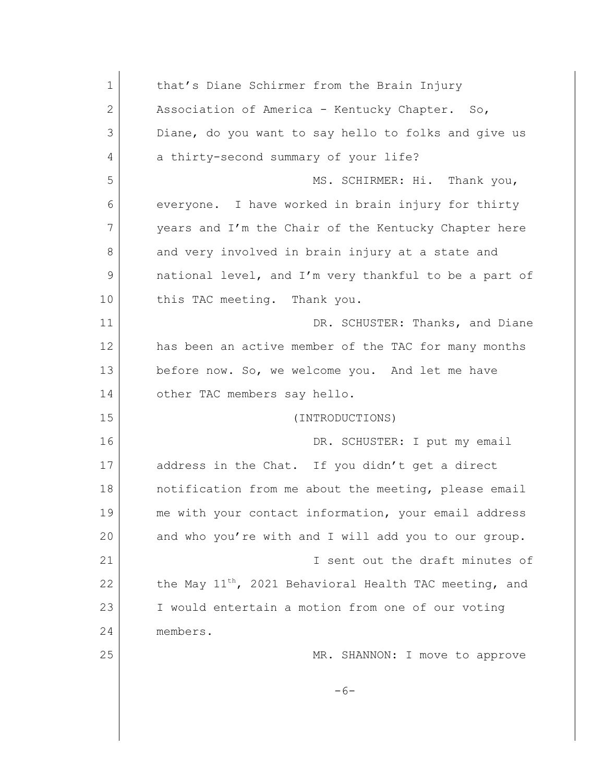| $\mathbf 1$  | that's Diane Schirmer from the Brain Injury                        |
|--------------|--------------------------------------------------------------------|
| $\mathbf{2}$ | Association of America - Kentucky Chapter. So,                     |
| 3            | Diane, do you want to say hello to folks and give us               |
| 4            | a thirty-second summary of your life?                              |
| 5            | MS. SCHIRMER: Hi. Thank you,                                       |
| 6            | everyone. I have worked in brain injury for thirty                 |
| 7            | years and I'm the Chair of the Kentucky Chapter here               |
| 8            | and very involved in brain injury at a state and                   |
| 9            | national level, and I'm very thankful to be a part of              |
| 10           | this TAC meeting. Thank you.                                       |
| 11           | DR. SCHUSTER: Thanks, and Diane                                    |
| 12           | has been an active member of the TAC for many months               |
| 13           | before now. So, we welcome you. And let me have                    |
| 14           | other TAC members say hello.                                       |
| 15           | (INTRODUCTIONS)                                                    |
| 16           | DR. SCHUSTER: I put my email                                       |
| 17           | address in the Chat. If you didn't get a direct                    |
| 18           | notification from me about the meeting, please email               |
| 19           | me with your contact information, your email address               |
| 20           | and who you're with and I will add you to our group.               |
| 21           | I sent out the draft minutes of                                    |
| 22           | the May 11 <sup>th</sup> , 2021 Behavioral Health TAC meeting, and |
| 23           | I would entertain a motion from one of our voting                  |
| 24           | members.                                                           |
| 25           | MR. SHANNON: I move to approve                                     |
|              | $-6-$                                                              |
|              |                                                                    |
|              |                                                                    |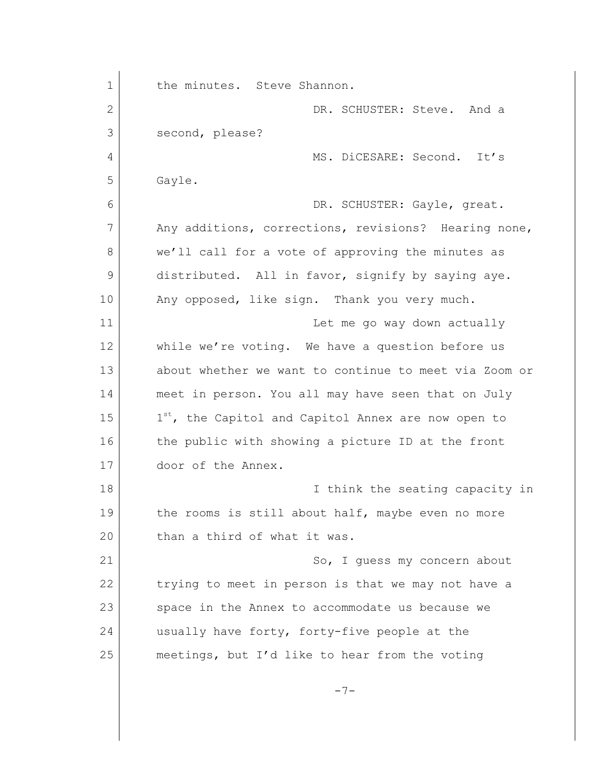1 the minutes. Steve Shannon. 2 DR. SCHUSTER: Steve. And a 3 second, please? 4 MS. DiCESARE: Second. It's 5 Gayle. 6 DR. SCHUSTER: Gayle, great. 7 Any additions, corrections, revisions? Hearing none, 8 we'll call for a vote of approving the minutes as 9 distributed. All in favor, signify by saying aye. 10 Any opposed, like sign. Thank you very much. 11 Let me go way down actually 12 while we're voting. We have a question before us 13 about whether we want to continue to meet via Zoom or 14 meet in person. You all may have seen that on July 15  $1<sup>st</sup>$ , the Capitol and Capitol Annex are now open to 16 the public with showing a picture ID at the front 17 door of the Annex. 18 I think the seating capacity in 19 the rooms is still about half, maybe even no more 20 than a third of what it was. 21 So, I quess my concern about 22 trying to meet in person is that we may not have a 23 space in the Annex to accommodate us because we 24 usually have forty, forty-five people at the 25 meetings, but I'd like to hear from the voting  $-7-$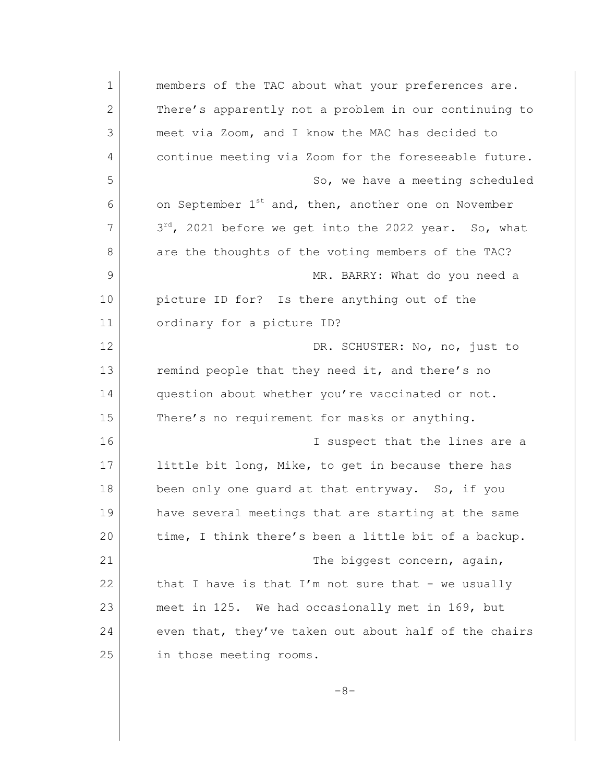| $\mathbf 1$  | members of the TAC about what your preferences are.             |
|--------------|-----------------------------------------------------------------|
| $\mathbf{2}$ | There's apparently not a problem in our continuing to           |
| 3            | meet via Zoom, and I know the MAC has decided to                |
| 4            | continue meeting via Zoom for the foreseeable future.           |
| 5            | So, we have a meeting scheduled                                 |
| 6            | on September 1 <sup>st</sup> and, then, another one on November |
| 7            | 3rd, 2021 before we get into the 2022 year. So, what            |
| 8            | are the thoughts of the voting members of the TAC?              |
| 9            | MR. BARRY: What do you need a                                   |
| 10           | picture ID for? Is there anything out of the                    |
| 11           | ordinary for a picture ID?                                      |
| 12           | DR. SCHUSTER: No, no, just to                                   |
| 13           | remind people that they need it, and there's no                 |
| 14           | question about whether you're vaccinated or not.                |
| 15           | There's no requirement for masks or anything.                   |
| 16           | I suspect that the lines are a                                  |
| 17           | little bit long, Mike, to get in because there has              |
| 18           | been only one guard at that entryway. So, if you                |
| 19           | have several meetings that are starting at the same             |
| 20           | time, I think there's been a little bit of a backup.            |
| 21           | The biggest concern, again,                                     |
| 22           | that I have is that I'm not sure that - we usually              |
| 23           | meet in 125. We had occasionally met in 169, but                |
| 24           | even that, they've taken out about half of the chairs           |
| 25           | in those meeting rooms.                                         |
|              |                                                                 |

-8-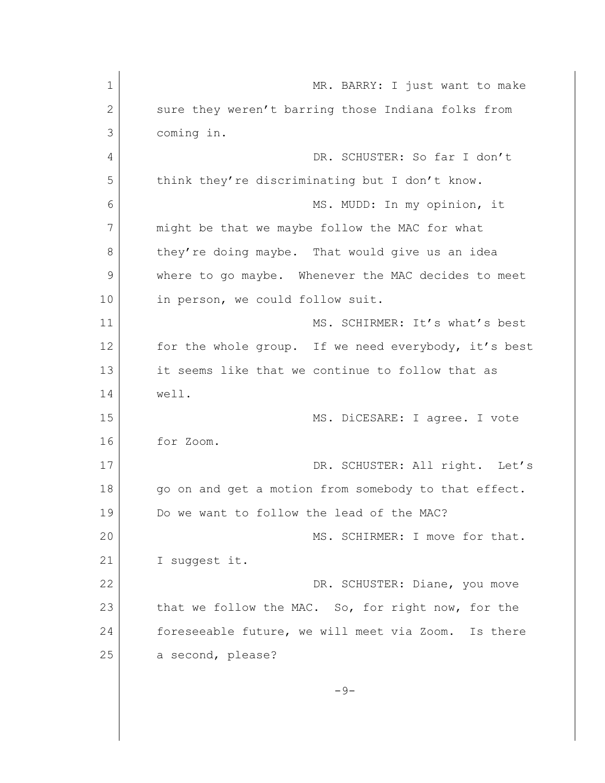| $\mathbf 1$  | MR. BARRY: I just want to make                       |
|--------------|------------------------------------------------------|
| $\mathbf{2}$ | sure they weren't barring those Indiana folks from   |
| 3            | coming in.                                           |
| 4            | DR. SCHUSTER: So far I don't                         |
| 5            | think they're discriminating but I don't know.       |
| 6            | MS. MUDD: In my opinion, it                          |
| 7            | might be that we maybe follow the MAC for what       |
| 8            | they're doing maybe. That would give us an idea      |
| 9            | where to go maybe. Whenever the MAC decides to meet  |
| 10           | in person, we could follow suit.                     |
| 11           | MS. SCHIRMER: It's what's best                       |
| 12           | for the whole group. If we need everybody, it's best |
| 13           | it seems like that we continue to follow that as     |
| 14           | well.                                                |
| 15           | MS. DiCESARE: I agree. I vote                        |
| 16           | for Zoom.                                            |
| 17           | DR. SCHUSTER: All right. Let's                       |
| 18           | go on and get a motion from somebody to that effect. |
| 19           | Do we want to follow the lead of the MAC?            |
| 20           | MS. SCHIRMER: I move for that.                       |
| 21           | I suggest it.                                        |
| 22           | DR. SCHUSTER: Diane, you move                        |
| 23           | that we follow the MAC. So, for right now, for the   |
| 24           | foreseeable future, we will meet via Zoom. Is there  |
| 25           | a second, please?                                    |
|              | $-9-$                                                |
|              |                                                      |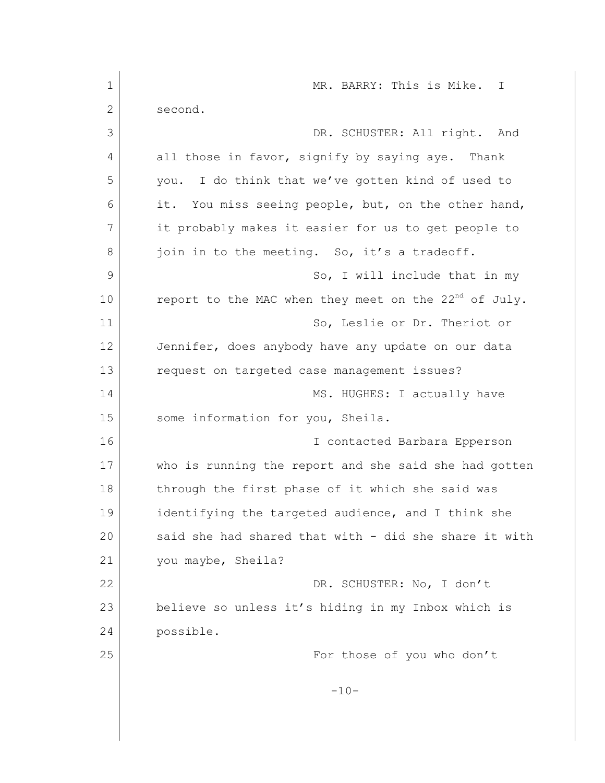| MR. BARRY: This is Mike. I                                        |
|-------------------------------------------------------------------|
| second.                                                           |
| DR. SCHUSTER: All right. And                                      |
| all those in favor, signify by saying aye. Thank                  |
| you. I do think that we've gotten kind of used to                 |
| it. You miss seeing people, but, on the other hand,               |
| it probably makes it easier for us to get people to               |
| join in to the meeting. So, it's a tradeoff.                      |
| So, I will include that in my                                     |
| report to the MAC when they meet on the 22 <sup>nd</sup> of July. |
| So, Leslie or Dr. Theriot or                                      |
| Jennifer, does anybody have any update on our data                |
| request on targeted case management issues?                       |
| MS. HUGHES: I actually have                                       |
| some information for you, Sheila.                                 |
| I contacted Barbara Epperson                                      |
| who is running the report and she said she had gotten             |
| through the first phase of it which she said was                  |
| identifying the targeted audience, and I think she                |
| said she had shared that with - did she share it with             |
| you maybe, Sheila?                                                |
| DR. SCHUSTER: No, I don't                                         |
| believe so unless it's hiding in my Inbox which is                |
| possible.                                                         |
| For those of you who don't                                        |
| $-10-$                                                            |
|                                                                   |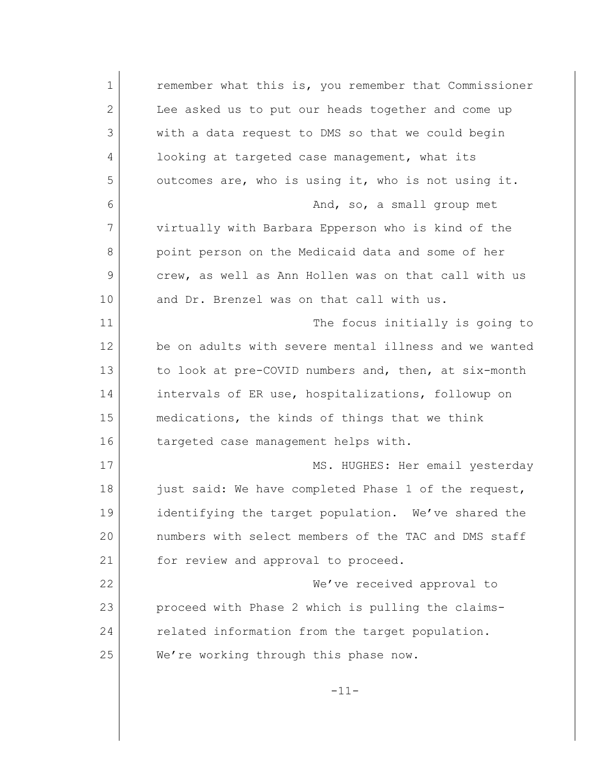1 **c** remember what this is, you remember that Commissioner 2 Lee asked us to put our heads together and come up 3 with a data request to DMS so that we could begin 4 looking at targeted case management, what its 5 outcomes are, who is using it, who is not using it. 6 And, so, a small group met 7 virtually with Barbara Epperson who is kind of the 8 point person on the Medicaid data and some of her 9 crew, as well as Ann Hollen was on that call with us 10 and Dr. Brenzel was on that call with us. 11 The focus initially is going to 12 be on adults with severe mental illness and we wanted 13 to look at pre-COVID numbers and, then, at six-month 14 intervals of ER use, hospitalizations, followup on 15 medications, the kinds of things that we think 16 targeted case management helps with. 17 MS. HUGHES: Her email yesterday 18 just said: We have completed Phase 1 of the request, 19 identifying the target population. We've shared the 20 numbers with select members of the TAC and DMS staff 21 for review and approval to proceed. 22 We've received approval to 23 proceed with Phase 2 which is pulling the claims-24 related information from the target population. 25 We're working through this phase now. -11-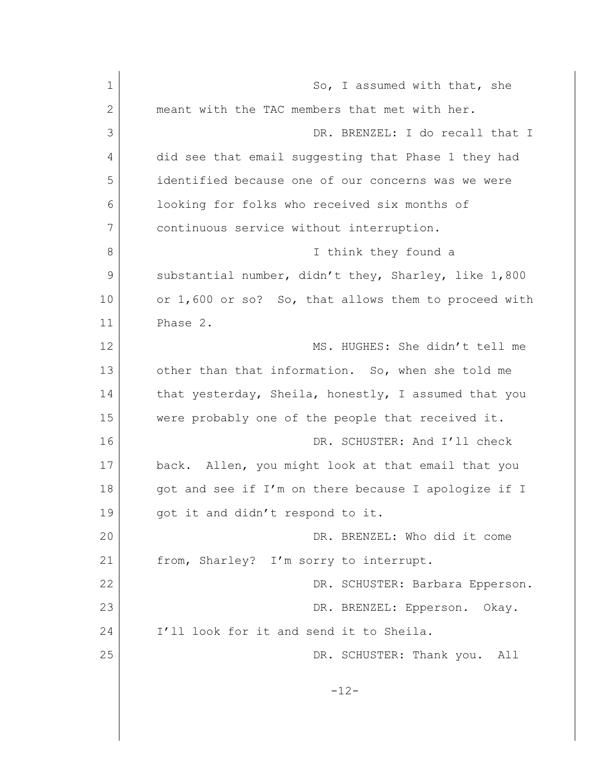1 So, I assumed with that, she 2 meant with the TAC members that met with her. 3 DR. BRENZEL: I do recall that I 4 did see that email suggesting that Phase 1 they had 5 identified because one of our concerns was we were 6 looking for folks who received six months of 7 continuous service without interruption. 8 I think they found a 9 substantial number, didn't they, Sharley, like 1,800 10 or 1,600 or so? So, that allows them to proceed with 11 Phase 2. 12 MS. HUGHES: She didn't tell me 13 other than that information. So, when she told me 14 that yesterday, Sheila, honestly, I assumed that you 15 were probably one of the people that received it. 16 DR. SCHUSTER: And I'll check 17 back. Allen, you might look at that email that you 18 got and see if I'm on there because I apologize if I 19 got it and didn't respond to it. 20 DR. BRENZEL: Who did it come 21 from, Sharley? I'm sorry to interrupt. 22 DR. SCHUSTER: Barbara Epperson. 23 DR. BRENZEL: Epperson. Okay. 24 I'll look for it and send it to Sheila. 25 DR. SCHUSTER: Thank you. All -12-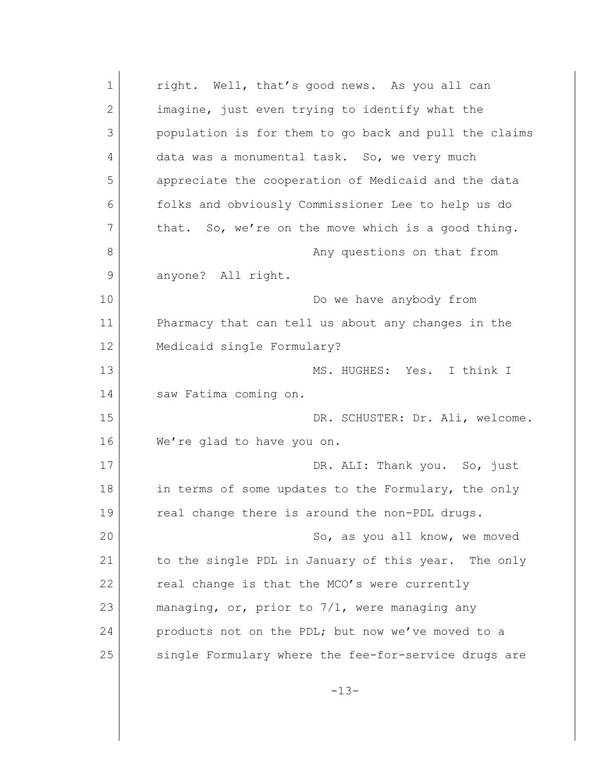1 right. Well, that's good news. As you all can 2 imagine, just even trying to identify what the 3 population is for them to go back and pull the claims 4 data was a monumental task. So, we very much 5 appreciate the cooperation of Medicaid and the data 6 folks and obviously Commissioner Lee to help us do 7 that. So, we're on the move which is a good thing. 8 any questions on that from 9 anyone? All right. 10 Do we have anybody from 11 Pharmacy that can tell us about any changes in the 12 Medicaid single Formulary? 13 MS. HUGHES: Yes. I think I 14 saw Fatima coming on. 15 DR. SCHUSTER: Dr. Ali, welcome. 16 We're glad to have you on. 17 DR. ALI: Thank you. So, just 18 in terms of some updates to the Formulary, the only 19 real change there is around the non-PDL drugs. 20 So, as you all know, we moved 21 to the single PDL in January of this year. The only  $22$  real change is that the MCO's were currently 23 managing, or, prior to 7/1, were managing any 24 products not on the PDL; but now we've moved to a 25 single Formulary where the fee-for-service drugs are  $-13-$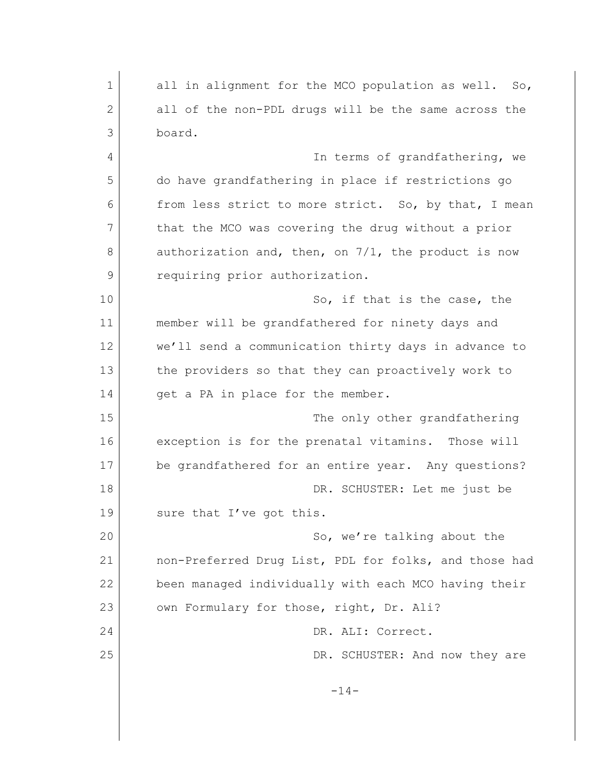1 all in alignment for the MCO population as well. So, 2 all of the non-PDL drugs will be the same across the 3 board. 4 In terms of grandfathering, we 5 do have grandfathering in place if restrictions go 6 from less strict to more strict. So, by that, I mean 7 that the MCO was covering the drug without a prior 8 authorization and, then, on 7/1, the product is now 9 requiring prior authorization. 10 So, if that is the case, the 11 member will be grandfathered for ninety days and 12 We'll send a communication thirty days in advance to 13 the providers so that they can proactively work to 14 get a PA in place for the member. 15 The only other grandfathering 16 exception is for the prenatal vitamins. Those will 17 be grandfathered for an entire year. Any questions? 18 DR. SCHUSTER: Let me just be 19 sure that I've got this. 20 So, we're talking about the 21 | non-Preferred Drug List, PDL for folks, and those had 22 been managed individually with each MCO having their 23 own Formulary for those, right, Dr. Ali? 24 DR. ALI: Correct. 25 DR. SCHUSTER: And now they are -14-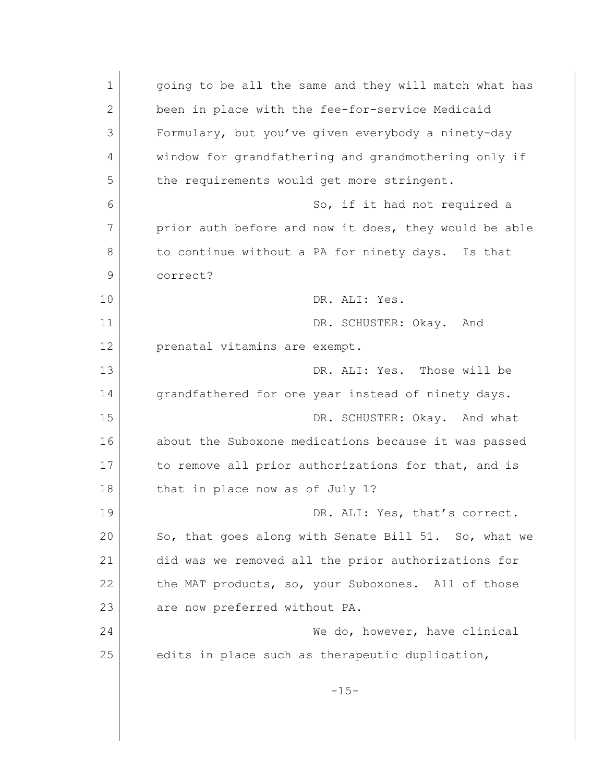| $\mathbf 1$  | going to be all the same and they will match what has |
|--------------|-------------------------------------------------------|
| $\mathbf{2}$ | been in place with the fee-for-service Medicaid       |
| 3            | Formulary, but you've given everybody a ninety-day    |
| 4            | window for grandfathering and grandmothering only if  |
| 5            | the requirements would get more stringent.            |
| 6            | So, if it had not required a                          |
| 7            | prior auth before and now it does, they would be able |
| 8            | to continue without a PA for ninety days. Is that     |
| 9            | correct?                                              |
| 10           | DR. ALI: Yes.                                         |
| 11           | DR. SCHUSTER: Okay. And                               |
| 12           | prenatal vitamins are exempt.                         |
| 13           | DR. ALI: Yes. Those will be                           |
| 14           | grandfathered for one year instead of ninety days.    |
| 15           | DR. SCHUSTER: Okay. And what                          |
| 16           | about the Suboxone medications because it was passed  |
| 17           | to remove all prior authorizations for that, and is   |
| 18           | that in place now as of July 1?                       |
| 19           | DR. ALI: Yes, that's correct.                         |
| 20           | So, that goes along with Senate Bill 51. So, what we  |
| 21           | did was we removed all the prior authorizations for   |
| 22           | the MAT products, so, your Suboxones. All of those    |
| 23           | are now preferred without PA.                         |
| 24           | We do, however, have clinical                         |
| 25           | edits in place such as therapeutic duplication,       |
|              | $-15-$                                                |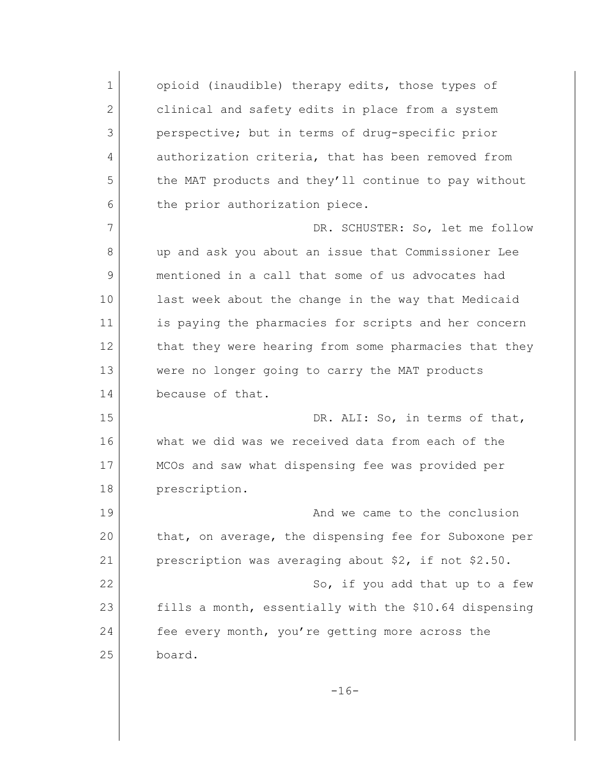1 opioid (inaudible) therapy edits, those types of 2 clinical and safety edits in place from a system 3 perspective; but in terms of drug-specific prior 4 authorization criteria, that has been removed from 5 the MAT products and they'll continue to pay without 6 the prior authorization piece. 7 DR. SCHUSTER: So, let me follow 8 up and ask you about an issue that Commissioner Lee 9 mentioned in a call that some of us advocates had 10 last week about the change in the way that Medicaid 11 is paying the pharmacies for scripts and her concern 12 that they were hearing from some pharmacies that they 13 were no longer going to carry the MAT products 14 because of that. 15 DR. ALI: So, in terms of that, 16 what we did was we received data from each of the 17 MCOs and saw what dispensing fee was provided per 18 prescription. 19 and we came to the conclusion 20 that, on average, the dispensing fee for Suboxone per 21 | prescription was averaging about \$2, if not \$2.50. 22 So, if you add that up to a few 23 fills a month, essentially with the \$10.64 dispensing 24 fee every month, you're getting more across the 25 board.  $-16-$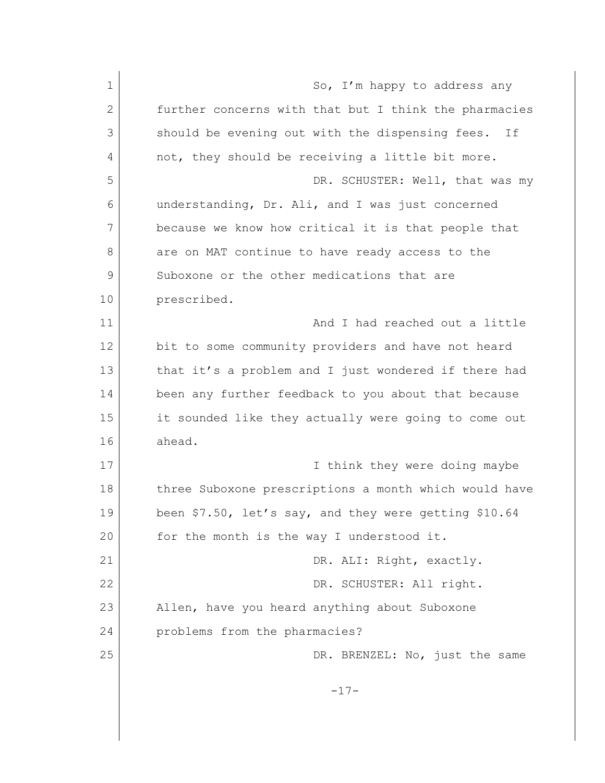1 So, I'm happy to address any 2 further concerns with that but I think the pharmacies 3 should be evening out with the dispensing fees. If 4 not, they should be receiving a little bit more. 5 DR. SCHUSTER: Well, that was my 6 understanding, Dr. Ali, and I was just concerned 7 because we know how critical it is that people that 8 are on MAT continue to have ready access to the 9 Suboxone or the other medications that are 10 prescribed. 11 and I had reached out a little 12 bit to some community providers and have not heard 13 that it's a problem and I just wondered if there had 14 been any further feedback to you about that because 15 it sounded like they actually were going to come out 16 ahead. 17 **I** think they were doing maybe 18 three Suboxone prescriptions a month which would have 19 been \$7.50, let's say, and they were getting \$10.64 20 for the month is the way I understood it. 21 DR. ALI: Right, exactly. 22 DR. SCHUSTER: All right. 23 Allen, have you heard anything about Suboxone 24 problems from the pharmacies? 25 DR. BRENZEL: No, just the same -17-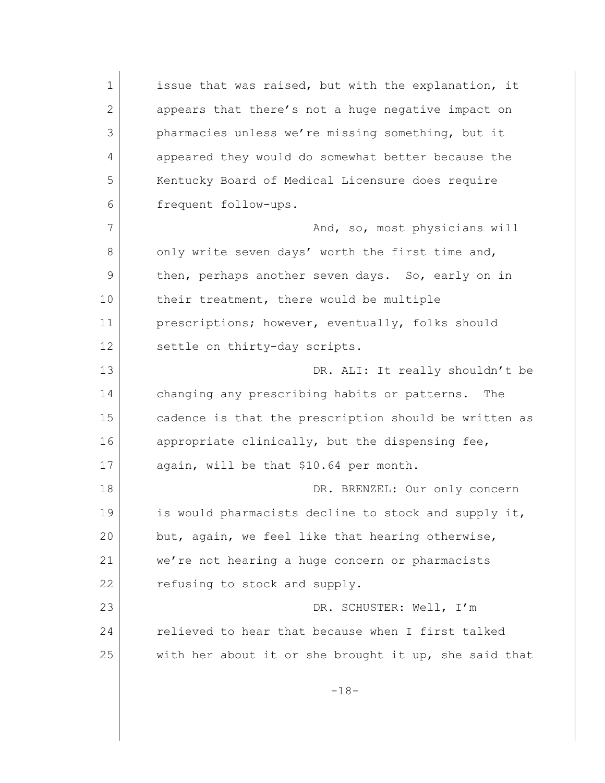1 issue that was raised, but with the explanation, it 2 appears that there's not a huge negative impact on 3 pharmacies unless we're missing something, but it 4 appeared they would do somewhat better because the 5 Kentucky Board of Medical Licensure does require 6 frequent follow-ups. 7 And, so, most physicians will 8 only write seven days' worth the first time and, 9 then, perhaps another seven days. So, early on in 10 their treatment, there would be multiple 11 prescriptions; however, eventually, folks should 12 settle on thirty-day scripts. 13 DR. ALI: It really shouldn't be 14 changing any prescribing habits or patterns. The 15 cadence is that the prescription should be written as 16 appropriate clinically, but the dispensing fee, 17 again, will be that \$10.64 per month. 18 DR. BRENZEL: Our only concern 19 is would pharmacists decline to stock and supply it, 20 but, again, we feel like that hearing otherwise, 21 we're not hearing a huge concern or pharmacists 22 refusing to stock and supply. 23 DR. SCHUSTER: Well, I'm 24 relieved to hear that because when I first talked 25 with her about it or she brought it up, she said that -18-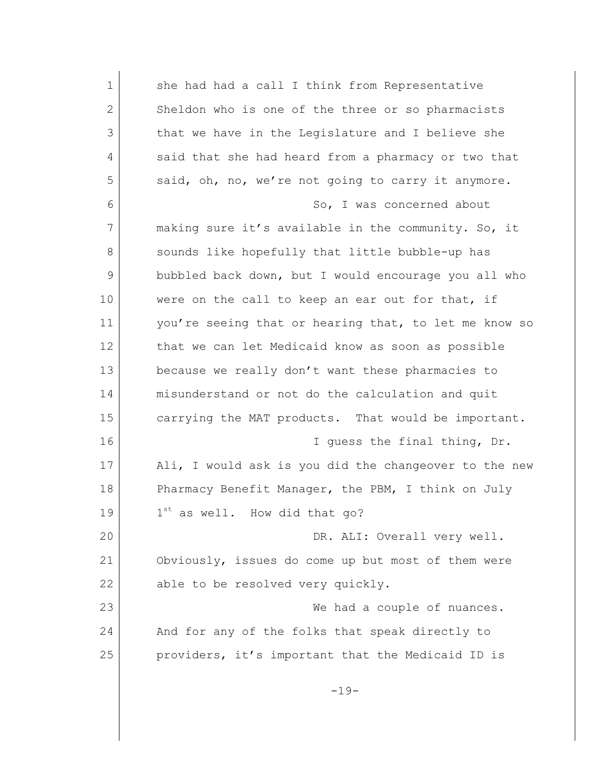| $\mathbf 1$ | she had had a call I think from Representative        |
|-------------|-------------------------------------------------------|
| 2           | Sheldon who is one of the three or so pharmacists     |
| 3           | that we have in the Legislature and I believe she     |
| 4           | said that she had heard from a pharmacy or two that   |
| 5           | said, oh, no, we're not going to carry it anymore.    |
| 6           | So, I was concerned about                             |
| 7           | making sure it's available in the community. So, it   |
| 8           | sounds like hopefully that little bubble-up has       |
| 9           | bubbled back down, but I would encourage you all who  |
| 10          | were on the call to keep an ear out for that, if      |
| 11          | you're seeing that or hearing that, to let me know so |
| 12          | that we can let Medicaid know as soon as possible     |
| 13          | because we really don't want these pharmacies to      |
| 14          | misunderstand or not do the calculation and quit      |
| 15          | carrying the MAT products. That would be important.   |
| 16          | I guess the final thing, Dr.                          |
| 17          | Ali, I would ask is you did the changeover to the new |
| 18          | Pharmacy Benefit Manager, the PBM, I think on July    |
| 19          | 1st as well. How did that go?                         |
| 20          | DR. ALI: Overall very well.                           |
| 21          | Obviously, issues do come up but most of them were    |
| 22          | able to be resolved very quickly.                     |
| 23          | We had a couple of nuances.                           |
| 24          | And for any of the folks that speak directly to       |
| 25          | providers, it's important that the Medicaid ID is     |
|             | $-19-$                                                |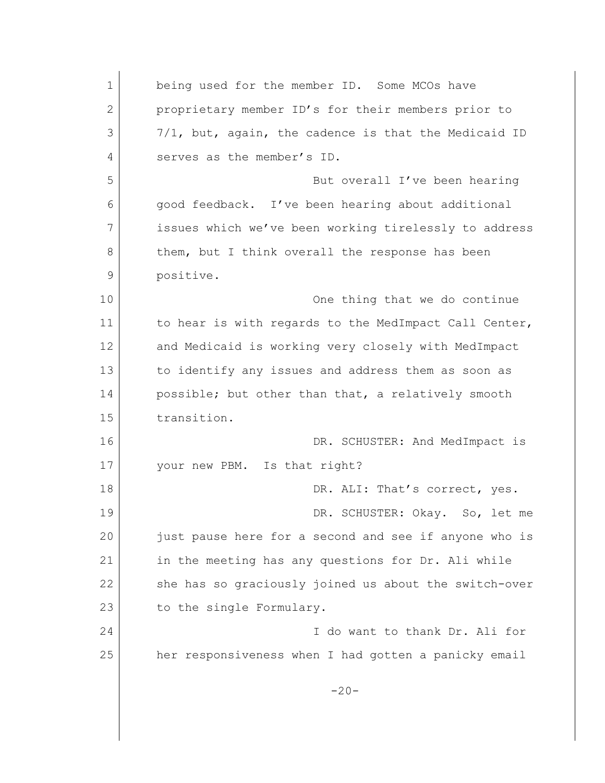1 being used for the member ID. Some MCOs have 2 proprietary member ID's for their members prior to  $3$   $7/1$ , but, again, the cadence is that the Medicaid ID 4 serves as the member's ID. 5 But overall I've been hearing 6 good feedback. I've been hearing about additional 7 issues which we've been working tirelessly to address 8 them, but I think overall the response has been 9 positive. 10 One thing that we do continue 11 to hear is with regards to the MedImpact Call Center, 12 and Medicaid is working very closely with MedImpact 13 to identify any issues and address them as soon as 14 possible; but other than that, a relatively smooth 15 transition. 16 DR. SCHUSTER: And MedImpact is 17 your new PBM. Is that right? 18 DR. ALI: That's correct, yes. 19 DR. SCHUSTER: Okay. So, let me 20 just pause here for a second and see if anyone who is 21 | in the meeting has any questions for Dr. Ali while 22 she has so graciously joined us about the switch-over 23 to the single Formulary. 24 I do want to thank Dr. Ali for 25 her responsiveness when I had gotten a panicky email  $-20-$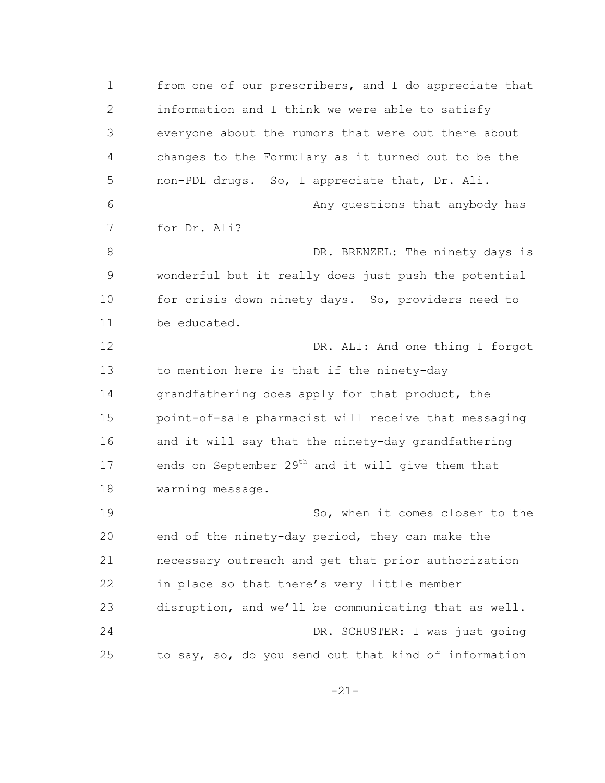1 from one of our prescribers, and I do appreciate that 2 information and I think we were able to satisfy 3 everyone about the rumors that were out there about 4 changes to the Formulary as it turned out to be the 5 non-PDL drugs. So, I appreciate that, Dr. Ali. 6 Any questions that anybody has 7 for Dr. Ali? 8 DR. BRENZEL: The ninety days is 9 wonderful but it really does just push the potential 10 for crisis down ninety days. So, providers need to 11 be educated. 12 DR. ALI: And one thing I forgot 13 to mention here is that if the ninety-day 14 grandfathering does apply for that product, the 15 point-of-sale pharmacist will receive that messaging 16 and it will say that the ninety-day grandfathering 17 ends on September  $29<sup>th</sup>$  and it will give them that 18 warning message. 19 So, when it comes closer to the 20 end of the ninety-day period, they can make the 21 necessary outreach and get that prior authorization 22 in place so that there's very little member 23 disruption, and we'll be communicating that as well. 24 DR. SCHUSTER: I was just going 25 to say, so, do you send out that kind of information -21-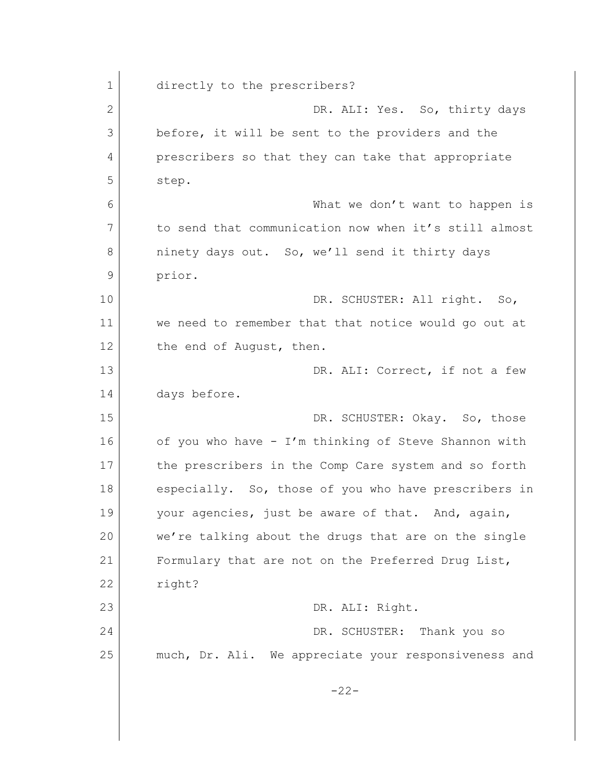| $\mathbf 1$    | directly to the prescribers?                          |
|----------------|-------------------------------------------------------|
| $\overline{2}$ | DR. ALI: Yes. So, thirty days                         |
| 3              | before, it will be sent to the providers and the      |
| 4              | prescribers so that they can take that appropriate    |
| 5              | step.                                                 |
| 6              | What we don't want to happen is                       |
| 7              | to send that communication now when it's still almost |
| 8              | ninety days out. So, we'll send it thirty days        |
| 9              | prior.                                                |
| 10             | DR. SCHUSTER: All right. So,                          |
| 11             | we need to remember that that notice would go out at  |
| 12             | the end of August, then.                              |
| 13             | DR. ALI: Correct, if not a few                        |
| 14             | days before.                                          |
| 15             | DR. SCHUSTER: Okay. So, those                         |
| 16             | of you who have - I'm thinking of Steve Shannon with  |
| 17             | the prescribers in the Comp Care system and so forth  |
| 18             | especially. So, those of you who have prescribers in  |
| 19             | your agencies, just be aware of that. And, again,     |
| 20             | we're talking about the drugs that are on the single  |
| 21             | Formulary that are not on the Preferred Drug List,    |
| 22             | right?                                                |
| 23             | DR. ALI: Right.                                       |
| 24             | DR. SCHUSTER: Thank you so                            |
| 25             | much, Dr. Ali. We appreciate your responsiveness and  |
|                | $-22-$                                                |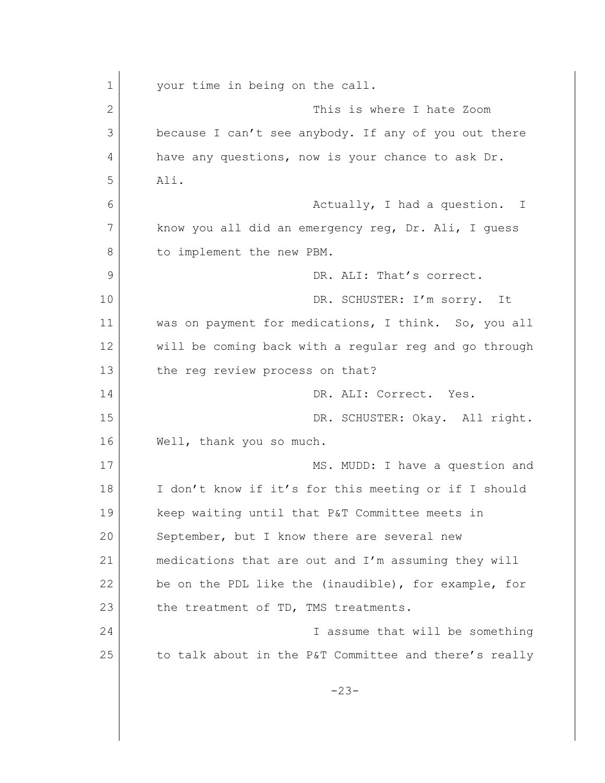| $\mathbf 1$ | your time in being on the call.                       |
|-------------|-------------------------------------------------------|
| 2           | This is where I hate Zoom                             |
| 3           | because I can't see anybody. If any of you out there  |
| 4           | have any questions, now is your chance to ask Dr.     |
| 5           | Ali.                                                  |
| 6           | Actually, I had a question. I                         |
| 7           | know you all did an emergency reg, Dr. Ali, I guess   |
| 8           | to implement the new PBM.                             |
| 9           | DR. ALI: That's correct.                              |
| 10          | DR. SCHUSTER: I'm sorry. It                           |
| 11          | was on payment for medications, I think. So, you all  |
| 12          | will be coming back with a regular reg and go through |
| 13          | the reg review process on that?                       |
| 14          | DR. ALI: Correct. Yes.                                |
| 15          | DR. SCHUSTER: Okay. All right.                        |
| 16          | Well, thank you so much.                              |
| 17          | MS. MUDD: I have a question and                       |
| 18          | I don't know if it's for this meeting or if I should  |
| 19          | keep waiting until that P&T Committee meets in        |
| 20          | September, but I know there are several new           |
| 21          | medications that are out and I'm assuming they will   |
| 22          | be on the PDL like the (inaudible), for example, for  |
| 23          | the treatment of TD, TMS treatments.                  |
| 24          | I assume that will be something                       |
| 25          | to talk about in the P&T Committee and there's really |
|             | $-23-$                                                |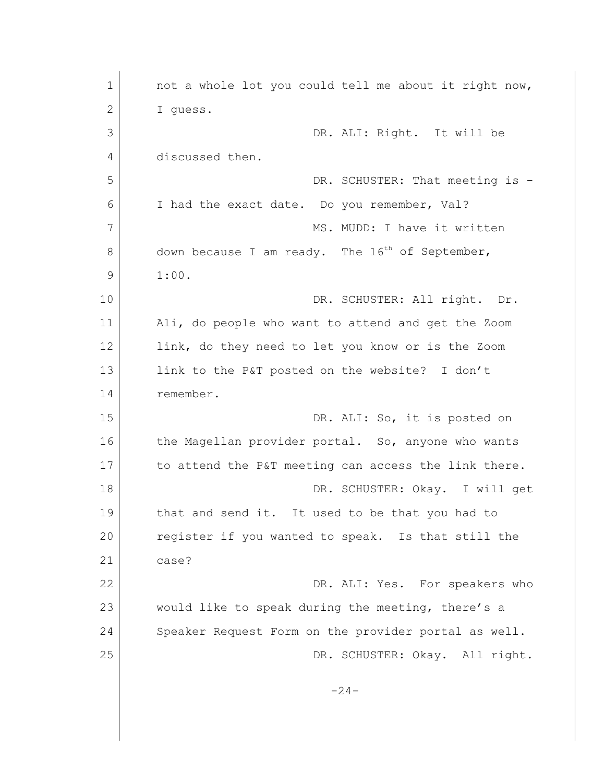| 1  | not a whole lot you could tell me about it right now,       |
|----|-------------------------------------------------------------|
| 2  | I guess.                                                    |
| 3  | DR. ALI: Right. It will be                                  |
| 4  | discussed then.                                             |
| 5  | DR. SCHUSTER: That meeting is -                             |
| 6  | I had the exact date. Do you remember, Val?                 |
| 7  | MS. MUDD: I have it written                                 |
|    |                                                             |
| 8  | down because I am ready. The 16 <sup>th</sup> of September, |
| 9  | 1:00.                                                       |
| 10 | DR. SCHUSTER: All right. Dr.                                |
| 11 | Ali, do people who want to attend and get the Zoom          |
| 12 | link, do they need to let you know or is the Zoom           |
| 13 | link to the P&T posted on the website? I don't              |
| 14 | remember.                                                   |
| 15 | DR. ALI: So, it is posted on                                |
| 16 | the Magellan provider portal. So, anyone who wants          |
| 17 | to attend the P&T meeting can access the link there.        |
| 18 | DR. SCHUSTER: Okay. I will get                              |
| 19 | that and send it. It used to be that you had to             |
| 20 | register if you wanted to speak. Is that still the          |
| 21 | case?                                                       |
| 22 | DR. ALI: Yes. For speakers who                              |
| 23 | would like to speak during the meeting, there's a           |
| 24 | Speaker Request Form on the provider portal as well.        |
| 25 | DR. SCHUSTER: Okay. All right.                              |
|    |                                                             |
|    | $-24-$                                                      |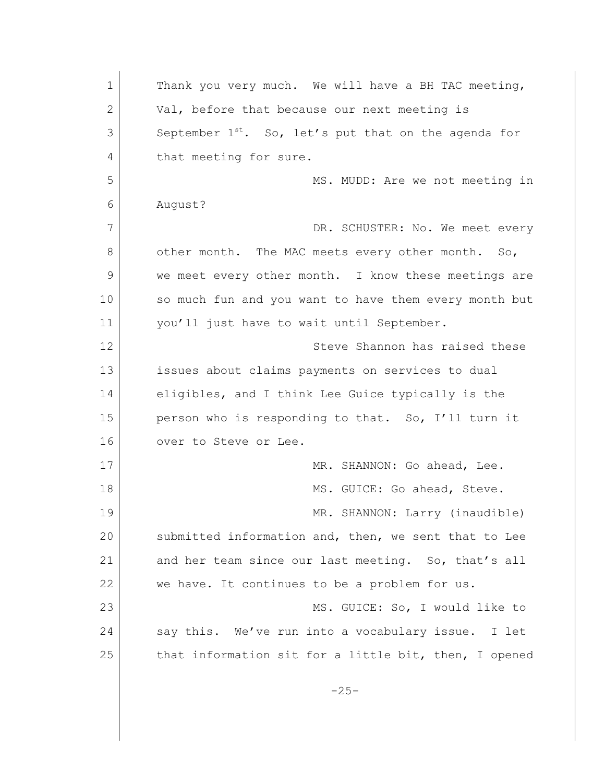1 Thank you very much. We will have a BH TAC meeting, 2 Val, before that because our next meeting is  $3$  September  $1^{st}$ . So, let's put that on the agenda for 4 that meeting for sure. 5 MS. MUDD: Are we not meeting in 6 August? 7 DR. SCHUSTER: No. We meet every 8 other month. The MAC meets every other month. So, 9 we meet every other month. I know these meetings are 10 so much fun and you want to have them every month but 11 | vou'll just have to wait until September. 12 Steve Shannon has raised these 13 issues about claims payments on services to dual 14 eligibles, and I think Lee Guice typically is the 15 person who is responding to that. So, I'll turn it 16 over to Steve or Lee. 17 MR. SHANNON: Go ahead, Lee. 18 MS. GUICE: Go ahead, Steve. 19 MR. SHANNON: Larry (inaudible) 20 submitted information and, then, we sent that to Lee 21 and her team since our last meeting. So, that's all 22 we have. It continues to be a problem for us. 23 MS. GUICE: So, I would like to 24 say this. We've run into a vocabulary issue. I let 25 that information sit for a little bit, then, I opened  $-25-$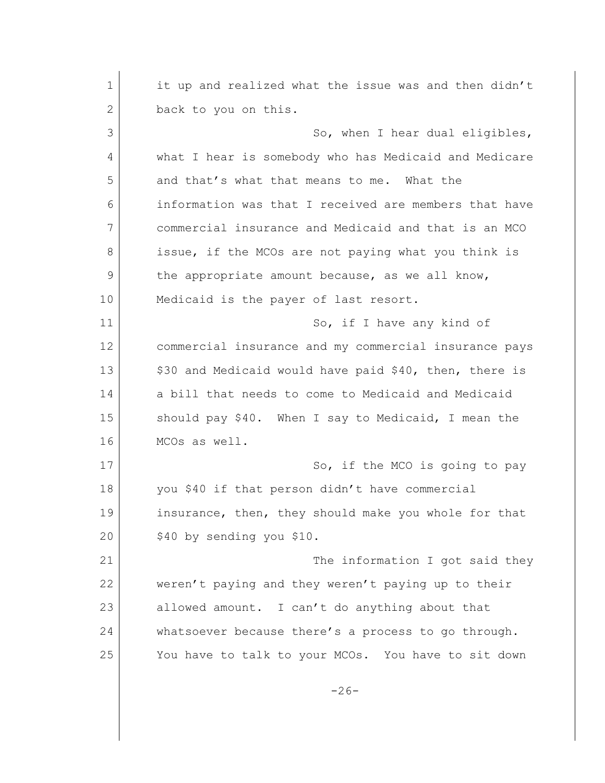1 it up and realized what the issue was and then didn't 2 back to you on this. 3 So, when I hear dual eligibles, 4 what I hear is somebody who has Medicaid and Medicare 5 and that's what that means to me. What the 6 information was that I received are members that have 7 commercial insurance and Medicaid and that is an MCO 8 issue, if the MCOs are not paying what you think is 9 the appropriate amount because, as we all know, 10 Medicaid is the payer of last resort. 11 So, if I have any kind of 12 commercial insurance and my commercial insurance pays 13 | \$30 and Medicaid would have paid \$40, then, there is 14 a bill that needs to come to Medicaid and Medicaid 15 Should pay \$40. When I say to Medicaid, I mean the 16 MCOs as well. 17 So, if the MCO is going to pay 18 you \$40 if that person didn't have commercial 19 insurance, then, they should make you whole for that 20 \$40 by sending you \$10. 21 The information I got said they 22 weren't paying and they weren't paying up to their 23 allowed amount. I can't do anything about that 24 whatsoever because there's a process to go through. 25 You have to talk to your MCOs. You have to sit down  $-26-$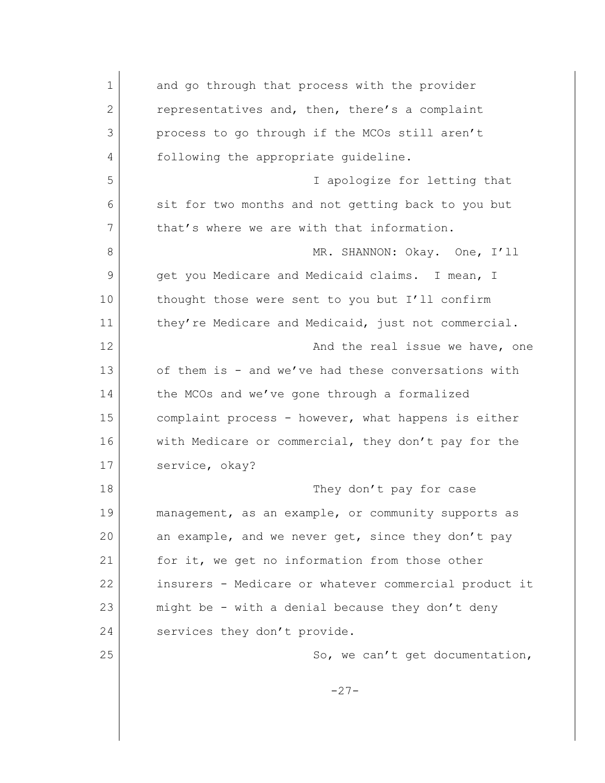| $\mathbf 1$  | and go through that process with the provider         |
|--------------|-------------------------------------------------------|
| $\mathbf{2}$ | representatives and, then, there's a complaint        |
| 3            | process to go through if the MCOs still aren't        |
| 4            | following the appropriate guideline.                  |
| 5            | I apologize for letting that                          |
| 6            | sit for two months and not getting back to you but    |
| 7            | that's where we are with that information.            |
| 8            | MR. SHANNON: Okay. One, I'll                          |
| 9            | get you Medicare and Medicaid claims. I mean, I       |
| 10           | thought those were sent to you but I'll confirm       |
| 11           | they're Medicare and Medicaid, just not commercial.   |
| 12           | And the real issue we have, one                       |
| 13           | of them is - and we've had these conversations with   |
| 14           | the MCOs and we've gone through a formalized          |
| 15           | complaint process - however, what happens is either   |
| 16           | with Medicare or commercial, they don't pay for the   |
| 17           | service, okay?                                        |
| 18           | They don't pay for case                               |
| 19           | management, as an example, or community supports as   |
| 20           | an example, and we never get, since they don't pay    |
| 21           | for it, we get no information from those other        |
| 22           | insurers - Medicare or whatever commercial product it |
| 23           | might be - with a denial because they don't deny      |
| 24           | services they don't provide.                          |
| 25           | So, we can't get documentation,                       |
|              | $-27-$                                                |
|              |                                                       |
|              |                                                       |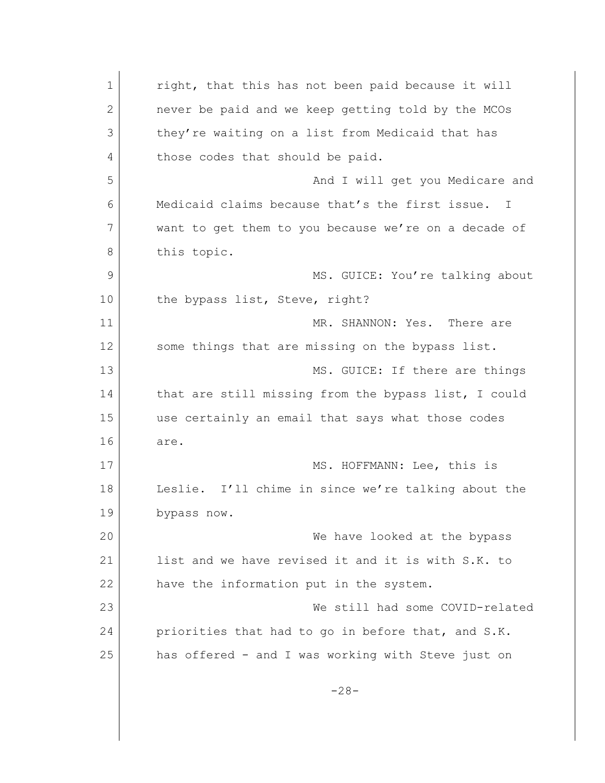1 right, that this has not been paid because it will 2 never be paid and we keep getting told by the MCOs 3 they're waiting on a list from Medicaid that has 4 those codes that should be paid. 5 And I will get you Medicare and 6 Medicaid claims because that's the first issue. I 7 want to get them to you because we're on a decade of 8 this topic. 9 MS. GUICE: You're talking about 10 the bypass list, Steve, right? 11 MR. SHANNON: Yes. There are 12 some things that are missing on the bypass list. 13 MS. GUICE: If there are things 14 that are still missing from the bypass list, I could 15 use certainly an email that says what those codes 16 are. 17 MS. HOFFMANN: Lee, this is 18 Leslie. I'll chime in since we're talking about the 19 bypass now. 20 We have looked at the bypass 21 list and we have revised it and it is with S.K. to 22 have the information put in the system. 23 We still had some COVID-related 24 priorities that had to go in before that, and S.K. 25 has offered - and I was working with Steve just on -28-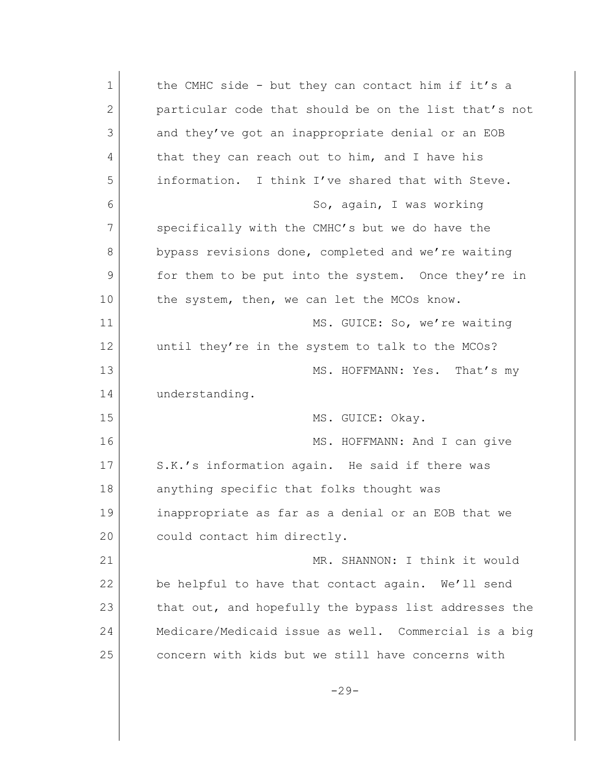| $\mathbf 1$    | the CMHC side - but they can contact him if it's a    |
|----------------|-------------------------------------------------------|
| $\overline{2}$ | particular code that should be on the list that's not |
| 3              | and they've got an inappropriate denial or an EOB     |
| 4              | that they can reach out to him, and I have his        |
| 5              | information. I think I've shared that with Steve.     |
| 6              | So, again, I was working                              |
| 7              | specifically with the CMHC's but we do have the       |
| 8              | bypass revisions done, completed and we're waiting    |
| 9              | for them to be put into the system. Once they're in   |
| 10             | the system, then, we can let the MCOs know.           |
| 11             | MS. GUICE: So, we're waiting                          |
| 12             | until they're in the system to talk to the MCOs?      |
| 13             | MS. HOFFMANN: Yes. That's my                          |
| 14             | understanding.                                        |
| 15             | MS. GUICE: Okay.                                      |
| 16             | MS. HOFFMANN: And I can give                          |
| 17             | S.K.'s information again. He said if there was        |
| 18             | anything specific that folks thought was              |
| 19             | inappropriate as far as a denial or an EOB that we    |
| 20             | could contact him directly.                           |
| 21             | MR. SHANNON: I think it would                         |
| 22             | be helpful to have that contact again. We'll send     |
| 23             | that out, and hopefully the bypass list addresses the |
| 24             | Medicare/Medicaid issue as well. Commercial is a big  |
| 25             | concern with kids but we still have concerns with     |
|                | $-29-$                                                |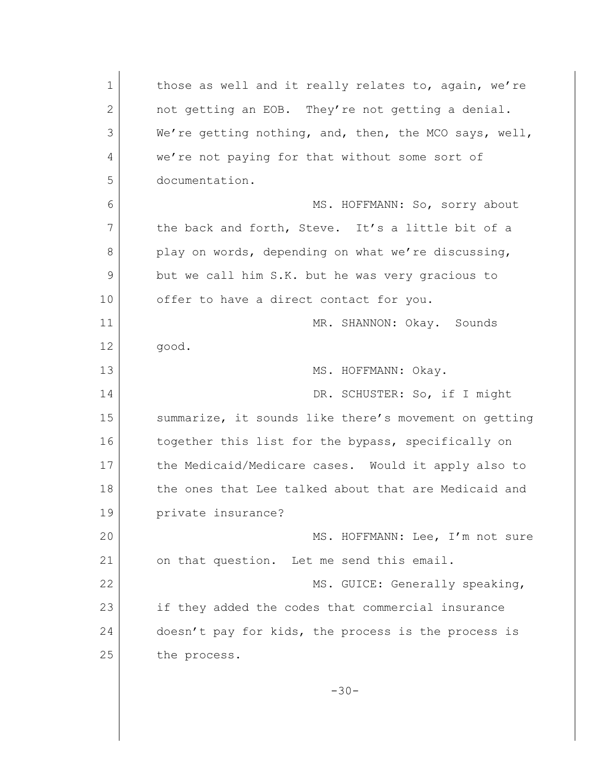1 those as well and it really relates to, again, we're 2 not getting an EOB. They're not getting a denial. 3 We're getting nothing, and, then, the MCO says, well, 4 we're not paying for that without some sort of 5 documentation. 6 MS. HOFFMANN: So, sorry about 7 the back and forth, Steve. It's a little bit of a 8 play on words, depending on what we're discussing, 9 but we call him S.K. but he was very gracious to 10 offer to have a direct contact for you. 11 MR. SHANNON: Okay. Sounds 12 good. 13 MS. HOFFMANN: Okay. 14 DR. SCHUSTER: So, if I might 15 Summarize, it sounds like there's movement on getting 16 together this list for the bypass, specifically on 17 the Medicaid/Medicare cases. Would it apply also to 18 the ones that Lee talked about that are Medicaid and 19 private insurance? 20 MS. HOFFMANN: Lee, I'm not sure 21 on that question. Let me send this email. 22 MS. GUICE: Generally speaking, 23 if they added the codes that commercial insurance 24 doesn't pay for kids, the process is the process is 25 the process. -30-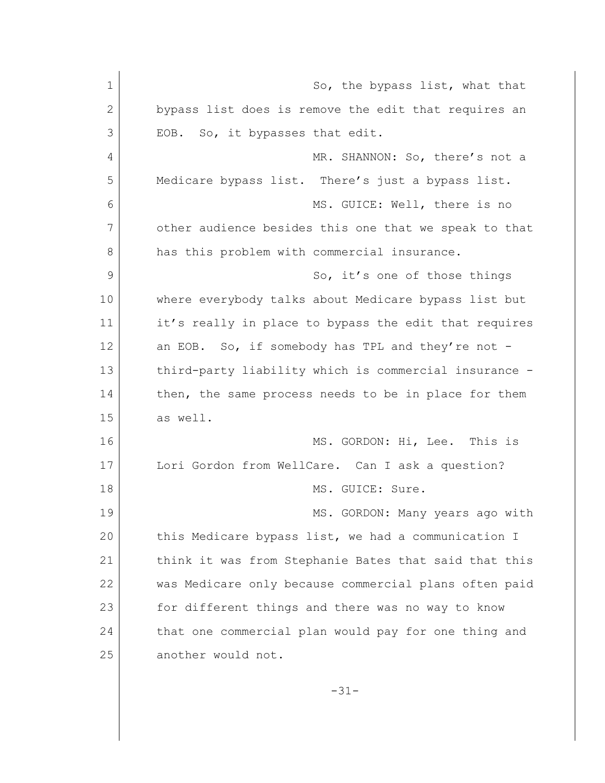| $\mathbf 1$  | So, the bypass list, what that                        |
|--------------|-------------------------------------------------------|
| $\mathbf{2}$ | bypass list does is remove the edit that requires an  |
| 3            | EOB. So, it bypasses that edit.                       |
| 4            | MR. SHANNON: So, there's not a                        |
| 5            | Medicare bypass list. There's just a bypass list.     |
| 6            | MS. GUICE: Well, there is no                          |
| 7            | other audience besides this one that we speak to that |
| 8            | has this problem with commercial insurance.           |
| 9            | So, it's one of those things                          |
| 10           | where everybody talks about Medicare bypass list but  |
| 11           | it's really in place to bypass the edit that requires |
| 12           | an EOB. So, if somebody has TPL and they're not -     |
| 13           | third-party liability which is commercial insurance - |
| 14           | then, the same process needs to be in place for them  |
| 15           | as well.                                              |
| 16           | MS. GORDON: Hi, Lee. This is                          |
| 17           | Lori Gordon from WellCare. Can I ask a question?      |
| 18           | MS. GUICE: Sure.                                      |
| 19           | MS. GORDON: Many years ago with                       |
| 20           | this Medicare bypass list, we had a communication I   |
| 21           | think it was from Stephanie Bates that said that this |
| 22           | was Medicare only because commercial plans often paid |
| 23           | for different things and there was no way to know     |
| 24           | that one commercial plan would pay for one thing and  |
| 25           | another would not.                                    |
|              |                                                       |

-31-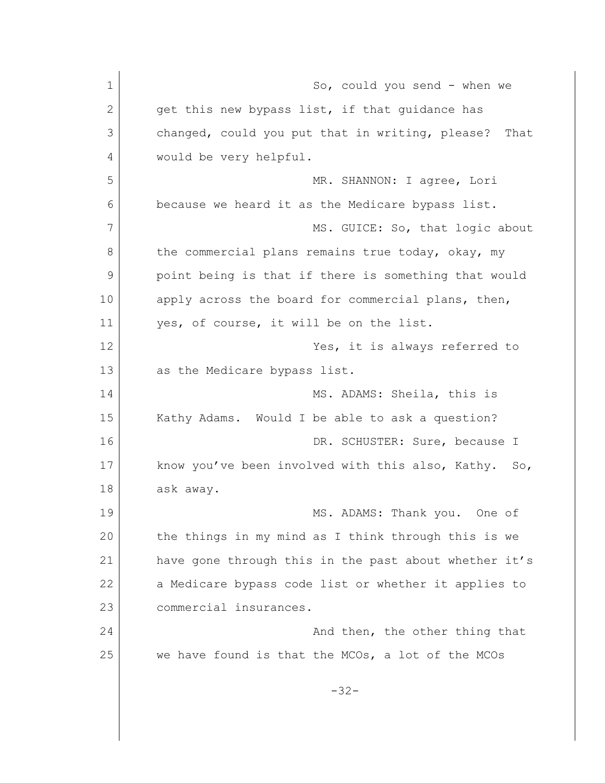1 So, could you send - when we 2 get this new bypass list, if that quidance has 3 changed, could you put that in writing, please? That 4 would be very helpful. 5 MR. SHANNON: I agree, Lori 6 because we heard it as the Medicare bypass list. 7 MS. GUICE: So, that logic about 8 the commercial plans remains true today, okay, my 9 point being is that if there is something that would 10 apply across the board for commercial plans, then, 11 yes, of course, it will be on the list. 12 | Tes, it is always referred to 13 as the Medicare bypass list. 14 MS. ADAMS: Sheila, this is 15 | Kathy Adams. Would I be able to ask a question? 16 DR. SCHUSTER: Sure, because I 17 know you've been involved with this also, Kathy. So, 18 ask away. 19 MS. ADAMS: Thank you. One of 20 the things in my mind as I think through this is we 21 have gone through this in the past about whether it's 22 a Medicare bypass code list or whether it applies to 23 commercial insurances. 24 And then, the other thing that 25 we have found is that the MCOs, a lot of the MCOs -32-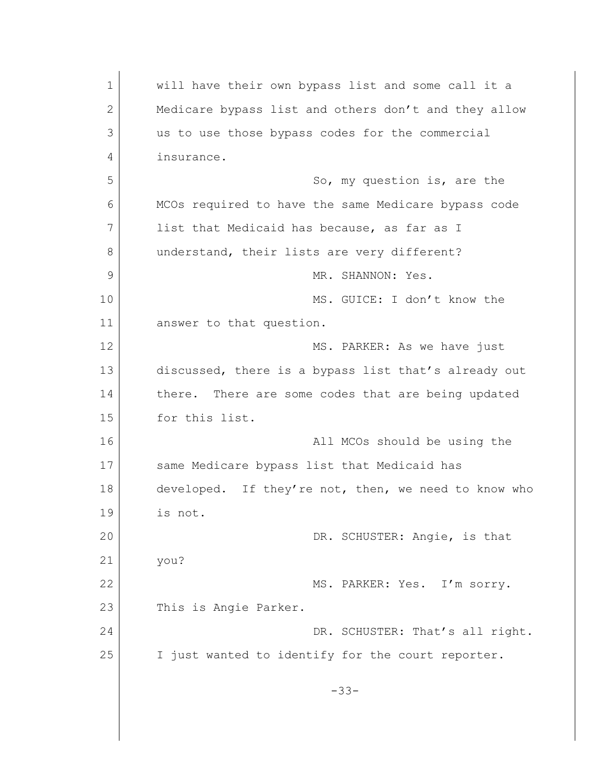1 Will have their own bypass list and some call it a 2 Medicare bypass list and others don't and they allow 3 us to use those bypass codes for the commercial 4 insurance. 5 So, my question is, are the 6 MCOs required to have the same Medicare bypass code 7 list that Medicaid has because, as far as I 8 understand, their lists are very different? 9 MR. SHANNON: Yes. 10 MS. GUICE: I don't know the 11 answer to that question. 12 MS. PARKER: As we have just 13 discussed, there is a bypass list that's already out 14 there. There are some codes that are being updated 15 for this list. 16 all MCOs should be using the MCOs should be using the 17 Same Medicare bypass list that Medicaid has 18 developed. If they're not, then, we need to know who 19 is not. 20 DR. SCHUSTER: Angie, is that 21 you? 22 MS. PARKER: Yes. I'm sorry. 23 This is Angie Parker. 24 DR. SCHUSTER: That's all right. 25 I just wanted to identify for the court reporter. -33-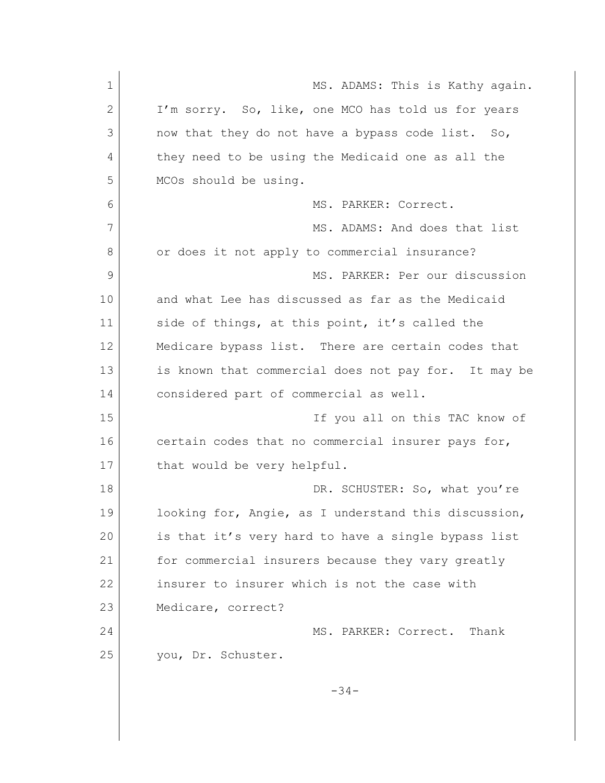| $\mathbf 1$  | MS. ADAMS: This is Kathy again.                      |
|--------------|------------------------------------------------------|
| $\mathbf{2}$ | I'm sorry. So, like, one MCO has told us for years   |
| 3            | now that they do not have a bypass code list. So,    |
| 4            | they need to be using the Medicaid one as all the    |
| 5            | MCOs should be using.                                |
| 6            | MS. PARKER: Correct.                                 |
| 7            | MS. ADAMS: And does that list                        |
| 8            | or does it not apply to commercial insurance?        |
| 9            | MS. PARKER: Per our discussion                       |
| 10           | and what Lee has discussed as far as the Medicaid    |
| 11           | side of things, at this point, it's called the       |
| 12           | Medicare bypass list. There are certain codes that   |
| 13           | is known that commercial does not pay for. It may be |
| 14           | considered part of commercial as well.               |
| 15           | If you all on this TAC know of                       |
| 16           | certain codes that no commercial insurer pays for,   |
| 17           | that would be very helpful.                          |
| 18           | DR. SCHUSTER: So, what you're                        |
| 19           | looking for, Angie, as I understand this discussion, |
| 20           | is that it's very hard to have a single bypass list  |
| 21           | for commercial insurers because they vary greatly    |
| 22           | insurer to insurer which is not the case with        |
| 23           | Medicare, correct?                                   |
| 24           | MS. PARKER: Correct. Thank                           |
| 25           | you, Dr. Schuster.                                   |
|              | $-34-$                                               |
|              |                                                      |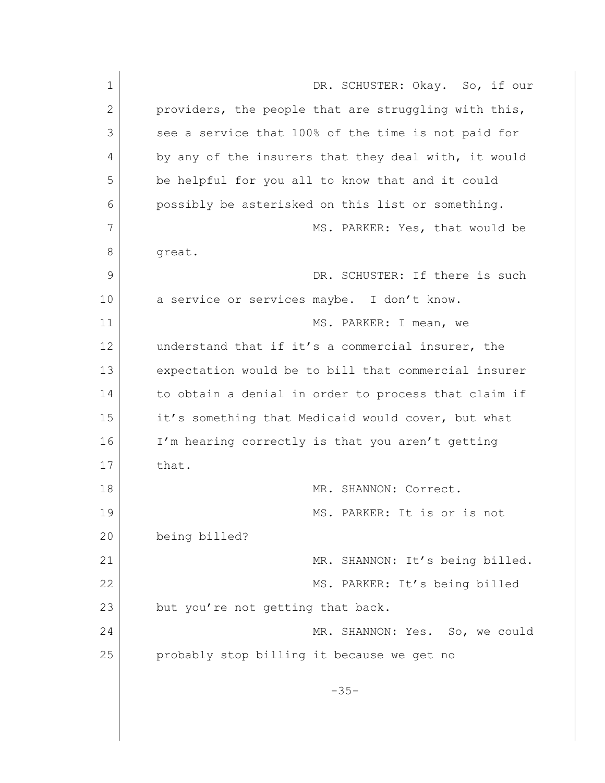| $\mathbf 1$ | DR. SCHUSTER: Okay. So, if our                       |
|-------------|------------------------------------------------------|
| 2           | providers, the people that are struggling with this, |
| 3           | see a service that 100% of the time is not paid for  |
| 4           | by any of the insurers that they deal with, it would |
| 5           | be helpful for you all to know that and it could     |
| 6           | possibly be asterisked on this list or something.    |
| 7           | MS. PARKER: Yes, that would be                       |
| 8           | great.                                               |
| 9           | DR. SCHUSTER: If there is such                       |
| 10          | a service or services maybe. I don't know.           |
| 11          | MS. PARKER: I mean, we                               |
| 12          | understand that if it's a commercial insurer, the    |
| 13          | expectation would be to bill that commercial insurer |
| 14          | to obtain a denial in order to process that claim if |
| 15          | it's something that Medicaid would cover, but what   |
| 16          | I'm hearing correctly is that you aren't getting     |
| 17          | that.                                                |
| 18          | MR. SHANNON: Correct.                                |
| 19          | MS. PARKER: It is or is not                          |
| 20          | being billed?                                        |
| 21          | MR. SHANNON: It's being billed.                      |
| 22          | MS. PARKER: It's being billed                        |
| 23          | but you're not getting that back.                    |
| 24          | MR. SHANNON: Yes. So, we could                       |
| 25          | probably stop billing it because we get no           |
|             | $-35-$                                               |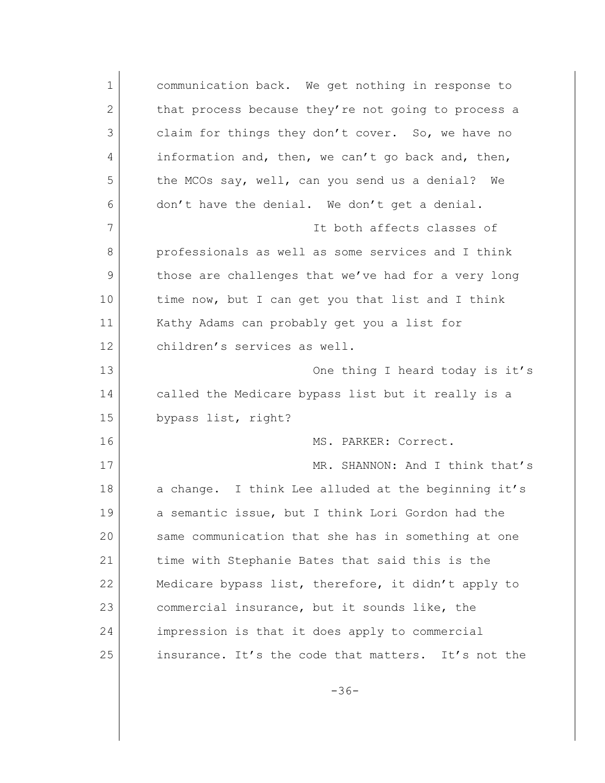| $\mathbf 1$ | communication back. We get nothing in response to   |
|-------------|-----------------------------------------------------|
| 2           | that process because they're not going to process a |
| 3           | claim for things they don't cover. So, we have no   |
| 4           | information and, then, we can't go back and, then,  |
| 5           | the MCOs say, well, can you send us a denial?<br>We |
| 6           | don't have the denial. We don't get a denial.       |
| 7           | It both affects classes of                          |
| 8           | professionals as well as some services and I think  |
| 9           | those are challenges that we've had for a very long |
| 10          | time now, but I can get you that list and I think   |
| 11          | Kathy Adams can probably get you a list for         |
| 12          | children's services as well.                        |
| 13          | One thing I heard today is it's                     |
| 14          | called the Medicare bypass list but it really is a  |
| 15          | bypass list, right?                                 |
| 16          | MS. PARKER: Correct.                                |
| 17          | MR. SHANNON: And I think that's                     |
| 18          | a change. I think Lee alluded at the beginning it's |
| 19          | a semantic issue, but I think Lori Gordon had the   |
| 20          | same communication that she has in something at one |
| 21          | time with Stephanie Bates that said this is the     |
| 22          | Medicare bypass list, therefore, it didn't apply to |
| 23          | commercial insurance, but it sounds like, the       |
| 24          | impression is that it does apply to commercial      |
| 25          | insurance. It's the code that matters. It's not the |

-36-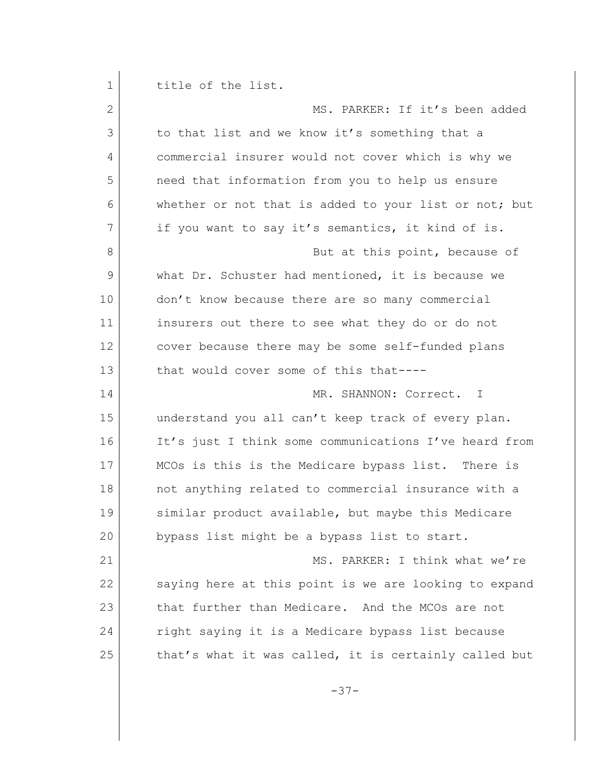| 1  | title of the list.                                    |
|----|-------------------------------------------------------|
| 2  | MS. PARKER: If it's been added                        |
| 3  | to that list and we know it's something that a        |
| 4  | commercial insurer would not cover which is why we    |
| 5  | need that information from you to help us ensure      |
| 6  | whether or not that is added to your list or not; but |
| 7  | if you want to say it's semantics, it kind of is.     |
| 8  | But at this point, because of                         |
| 9  | what Dr. Schuster had mentioned, it is because we     |
| 10 | don't know because there are so many commercial       |
| 11 | insurers out there to see what they do or do not      |
| 12 | cover because there may be some self-funded plans     |
| 13 | that would cover some of this that----                |
| 14 | MR. SHANNON: Correct.<br>$\mathbf{T}$                 |
| 15 | understand you all can't keep track of every plan.    |
| 16 | It's just I think some communications I've heard from |
| 17 | MCOs is this is the Medicare bypass list. There is    |
| 18 | not anything related to commercial insurance with a   |
| 19 | similar product available, but maybe this Medicare    |
| 20 | bypass list might be a bypass list to start.          |
| 21 | MS. PARKER: I think what we're                        |
| 22 | saying here at this point is we are looking to expand |
| 23 | that further than Medicare. And the MCOs are not      |
| 24 | right saying it is a Medicare bypass list because     |
| 25 | that's what it was called, it is certainly called but |
|    |                                                       |

-37-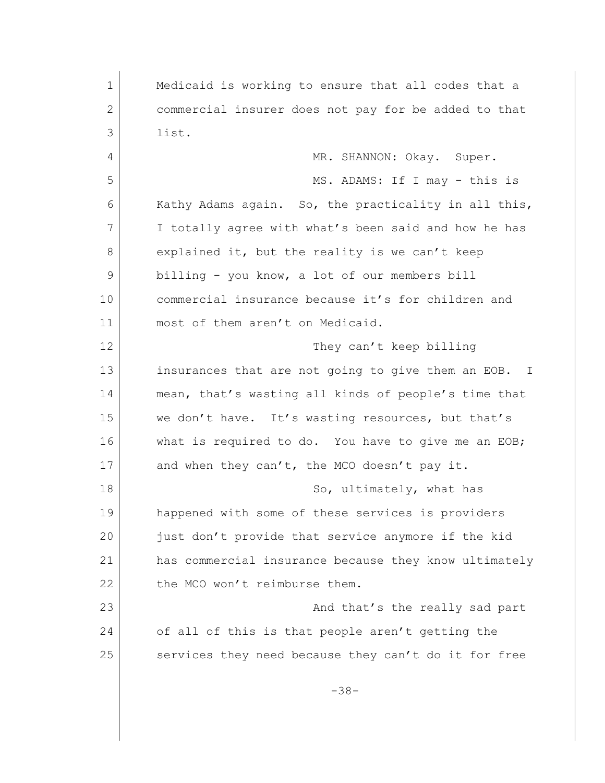1 Medicaid is working to ensure that all codes that a 2 commercial insurer does not pay for be added to that 3 list. 4 MR. SHANNON: Okay. Super. 5 MS. ADAMS: If I may - this is 6 Kathy Adams again. So, the practicality in all this, 7 I totally agree with what's been said and how he has 8 explained it, but the reality is we can't keep 9 billing - you know, a lot of our members bill 10 commercial insurance because it's for children and 11 most of them aren't on Medicaid. 12 | They can't keep billing 13 insurances that are not going to give them an EOB. I 14 mean, that's wasting all kinds of people's time that 15 we don't have. It's wasting resources, but that's 16 what is required to do. You have to give me an EOB; 17 and when they can't, the MCO doesn't pay it. 18 So, ultimately, what has 19 happened with some of these services is providers 20 just don't provide that service anymore if the kid 21 has commercial insurance because they know ultimately 22 the MCO won't reimburse them. 23 and that's the really sad part 24 of all of this is that people aren't getting the 25 services they need because they can't do it for free -38-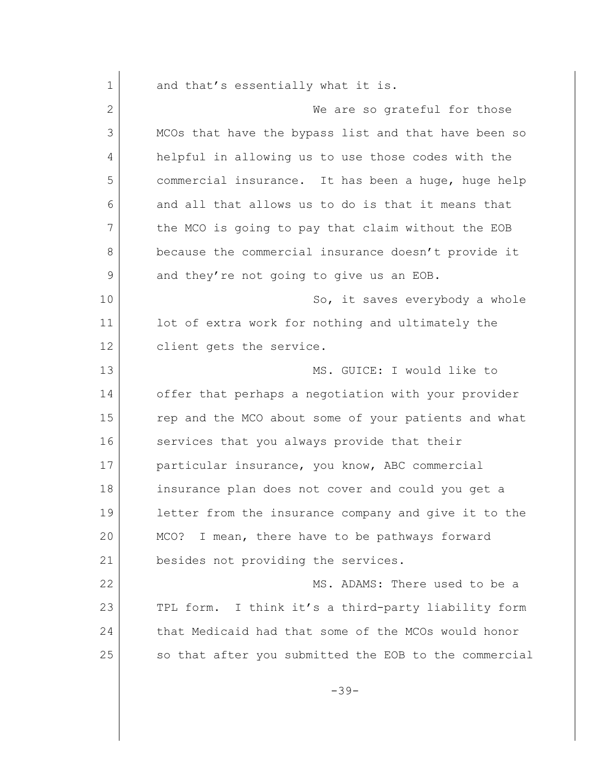1 and that's essentially what it is. 2 We are so grateful for those 3 MCOs that have the bypass list and that have been so 4 helpful in allowing us to use those codes with the 5 commercial insurance. It has been a huge, huge help 6 and all that allows us to do is that it means that 7 the MCO is going to pay that claim without the EOB 8 because the commercial insurance doesn't provide it 9 and they're not going to give us an EOB. 10 | So, it saves everybody a whole 11 lot of extra work for nothing and ultimately the 12 client gets the service. 13 MS. GUICE: I would like to 14 offer that perhaps a negotiation with your provider 15 rep and the MCO about some of your patients and what 16 services that you always provide that their 17 particular insurance, you know, ABC commercial 18 insurance plan does not cover and could you get a 19 letter from the insurance company and give it to the 20 MCO? I mean, there have to be pathways forward 21 besides not providing the services. 22 MS. ADAMS: There used to be a 23 TPL form. I think it's a third-party liability form 24 that Medicaid had that some of the MCOs would honor 25 so that after you submitted the EOB to the commercial

-39-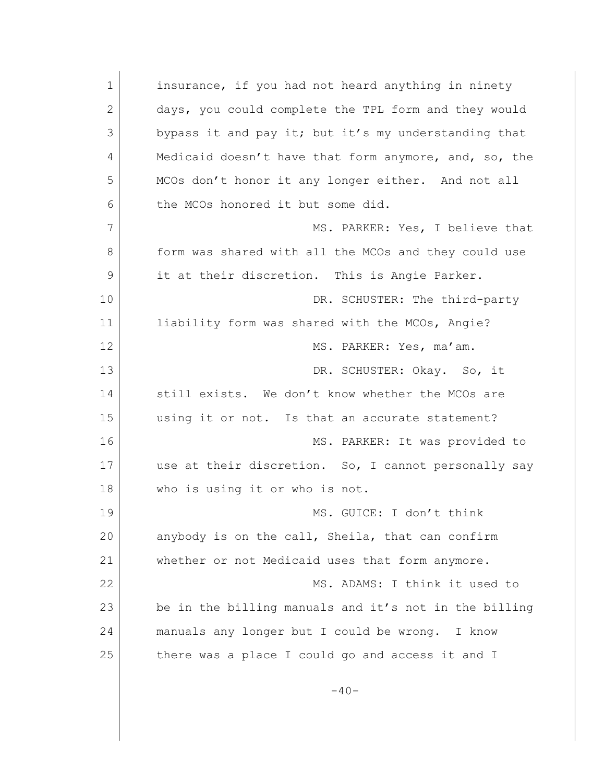| 1  | insurance, if you had not heard anything in ninety    |
|----|-------------------------------------------------------|
| 2  | days, you could complete the TPL form and they would  |
| 3  | bypass it and pay it; but it's my understanding that  |
| 4  | Medicaid doesn't have that form anymore, and, so, the |
| 5  | MCOs don't honor it any longer either. And not all    |
| 6  | the MCOs honored it but some did.                     |
| 7  | MS. PARKER: Yes, I believe that                       |
| 8  | form was shared with all the MCOs and they could use  |
| 9  | it at their discretion. This is Angie Parker.         |
| 10 | DR. SCHUSTER: The third-party                         |
| 11 | liability form was shared with the MCOs, Angie?       |
| 12 | MS. PARKER: Yes, ma'am.                               |
| 13 | DR. SCHUSTER: Okay. So, it                            |
| 14 | still exists. We don't know whether the MCOs are      |
| 15 | using it or not. Is that an accurate statement?       |
| 16 | MS. PARKER: It was provided to                        |
| 17 | use at their discretion. So, I cannot personally say  |
| 18 | who is using it or who is not.                        |
| 19 | MS. GUICE: I don't think                              |
| 20 | anybody is on the call, Sheila, that can confirm      |
| 21 | whether or not Medicaid uses that form anymore.       |
| 22 | MS. ADAMS: I think it used to                         |
| 23 | be in the billing manuals and it's not in the billing |
| 24 | manuals any longer but I could be wrong. I know       |
| 25 | there was a place I could go and access it and I      |
|    |                                                       |

-40-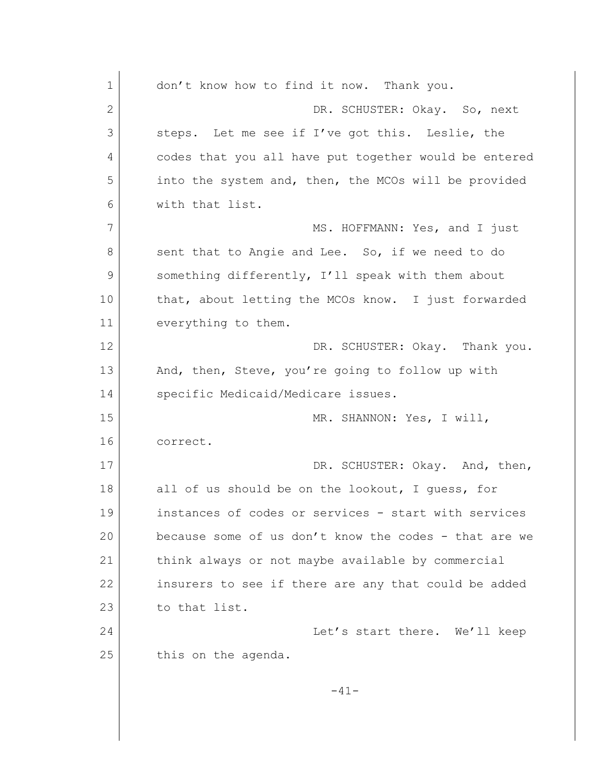| $\mathbf 1$ | don't know how to find it now. Thank you.             |
|-------------|-------------------------------------------------------|
| 2           | DR. SCHUSTER: Okay. So, next                          |
| 3           | steps. Let me see if I've got this. Leslie, the       |
| 4           | codes that you all have put together would be entered |
| 5           | into the system and, then, the MCOs will be provided  |
| 6           | with that list.                                       |
| 7           | MS. HOFFMANN: Yes, and I just                         |
| 8           | sent that to Angie and Lee. So, if we need to do      |
| 9           | something differently, I'll speak with them about     |
| 10          | that, about letting the MCOs know. I just forwarded   |
| 11          | everything to them.                                   |
| 12          | DR. SCHUSTER: Okay. Thank you.                        |
| 13          | And, then, Steve, you're going to follow up with      |
| 14          | specific Medicaid/Medicare issues.                    |
| 15          | MR. SHANNON: Yes, I will,                             |
| 16          | correct.                                              |
| 17          | DR. SCHUSTER: Okay. And, then,                        |
| 18          | all of us should be on the lookout, I guess, for      |
| 19          | instances of codes or services - start with services  |
| 20          | because some of us don't know the codes - that are we |
| 21          | think always or not maybe available by commercial     |
| 22          | insurers to see if there are any that could be added  |
| 23          | to that list.                                         |
| 24          | Let's start there. We'll keep                         |
| 25          | this on the agenda.                                   |
|             |                                                       |
|             | $-41-$                                                |
|             |                                                       |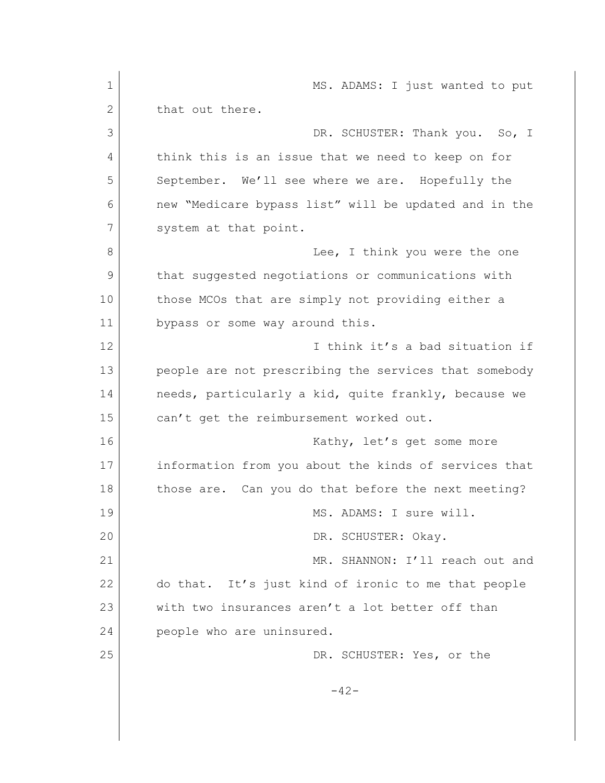1 MS. ADAMS: I just wanted to put 2 that out there. 3 DR. SCHUSTER: Thank you. So, I 4 think this is an issue that we need to keep on for 5 September. We'll see where we are. Hopefully the 6 new "Medicare bypass list" will be updated and in the 7 system at that point. 8 a contract the state of the one of think you were the one 9 that suggested negotiations or communications with 10 those MCOs that are simply not providing either a 11 bypass or some way around this. 12 I think it's a bad situation if 13 people are not prescribing the services that somebody 14 needs, particularly a kid, quite frankly, because we 15 can't get the reimbursement worked out. 16 Kathy, let's get some more 17 information from you about the kinds of services that 18 those are. Can you do that before the next meeting? 19 MS. ADAMS: I sure will. 20 DR. SCHUSTER: Okay. 21 MR. SHANNON: I'll reach out and 22 do that. It's just kind of ironic to me that people 23 with two insurances aren't a lot better off than 24 people who are uninsured. 25 DR. SCHUSTER: Yes, or the  $-42-$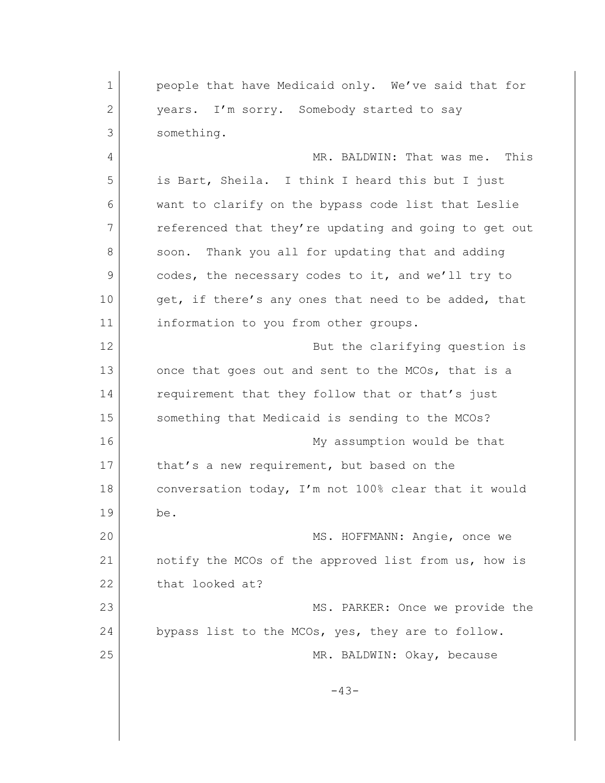1 **people that have Medicaid only.** We've said that for 2 years. I'm sorry. Somebody started to say 3 something. 4 MR. BALDWIN: That was me. This 5 is Bart, Sheila. I think I heard this but I just 6 want to clarify on the bypass code list that Leslie 7 referenced that they're updating and going to get out 8 soon. Thank you all for updating that and adding 9 codes, the necessary codes to it, and we'll try to 10 get, if there's any ones that need to be added, that 11 information to you from other groups. 12 But the clarifying question is 13 once that goes out and sent to the MCOs, that is a 14 requirement that they follow that or that's just 15 Something that Medicaid is sending to the MCOs? 16 My assumption would be that 17 that's a new requirement, but based on the 18 conversation today, I'm not 100% clear that it would 19 be. 20 MS. HOFFMANN: Angie, once we 21 notify the MCOs of the approved list from us, how is 22 that looked at? 23 MS. PARKER: Once we provide the 24 bypass list to the MCOs, yes, they are to follow. 25 MR. BALDWIN: Okay, because -43-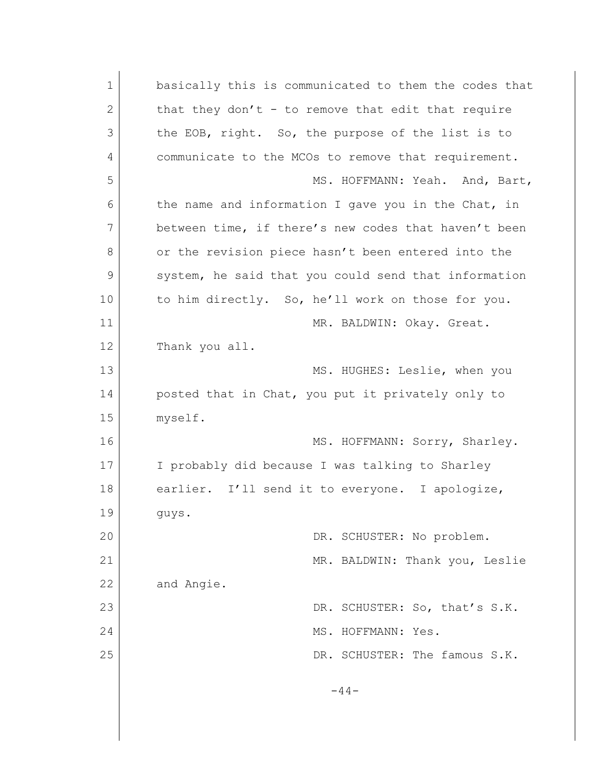| $\mathbf 1$ | basically this is communicated to them the codes that |
|-------------|-------------------------------------------------------|
| 2           | that they don't - to remove that edit that require    |
| 3           | the EOB, right. So, the purpose of the list is to     |
| 4           | communicate to the MCOs to remove that requirement.   |
| 5           | MS. HOFFMANN: Yeah. And, Bart,                        |
| 6           | the name and information I gave you in the Chat, in   |
| 7           | between time, if there's new codes that haven't been  |
| 8           | or the revision piece hasn't been entered into the    |
| 9           | system, he said that you could send that information  |
| 10          | to him directly. So, he'll work on those for you.     |
| 11          | MR. BALDWIN: Okay. Great.                             |
| 12          | Thank you all.                                        |
| 13          | MS. HUGHES: Leslie, when you                          |
| 14          | posted that in Chat, you put it privately only to     |
| 15          | myself.                                               |
| 16          | MS. HOFFMANN: Sorry, Sharley.                         |
| 17          | I probably did because I was talking to Sharley       |
| 18          | earlier. I'll send it to everyone. I apologize,       |
| 19          | guys.                                                 |
| 20          | DR. SCHUSTER: No problem.                             |
| 21          | MR. BALDWIN: Thank you, Leslie                        |
| 22          | and Angie.                                            |
| 23          | DR. SCHUSTER: So, that's S.K.                         |
| 24          | MS. HOFFMANN: Yes.                                    |
| 25          | DR. SCHUSTER: The famous S.K.                         |
|             | $-44-$                                                |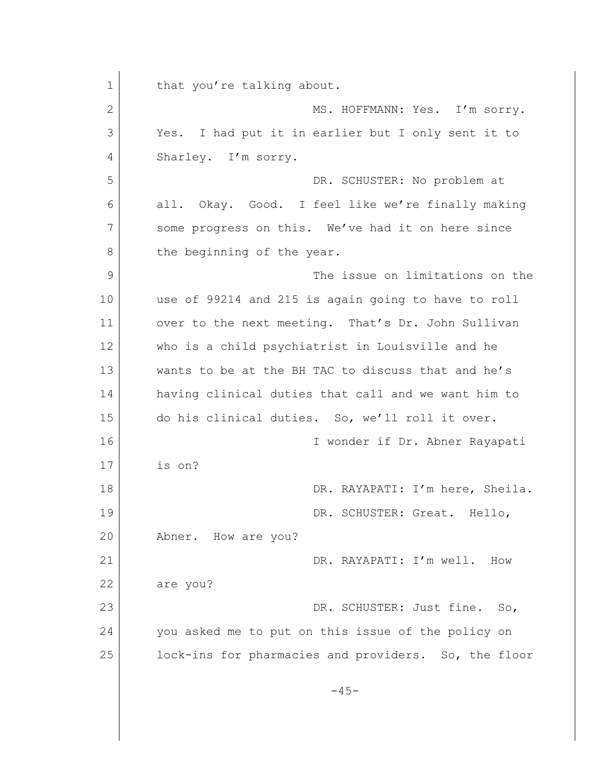1 that you're talking about. 2 MS. HOFFMANN: Yes. I'm sorry. 3 Yes. I had put it in earlier but I only sent it to 4 Sharley. I'm sorry. 5 DR. SCHUSTER: No problem at 6 all. Okay. Good. I feel like we're finally making 7 some progress on this. We've had it on here since 8 the beginning of the year. 9 The issue on limitations on the 10 use of 99214 and 215 is again going to have to roll 11 over to the next meeting. That's Dr. John Sullivan 12 who is a child psychiatrist in Louisville and he 13 wants to be at the BH TAC to discuss that and he's 14 having clinical duties that call and we want him to 15 do his clinical duties. So, we'll roll it over. 16 I wonder if Dr. Abner Rayapati 17 is on? 18 DR. RAYAPATI: I'm here, Sheila. 19 DR. SCHUSTER: Great. Hello, 20 Abner. How are you? 21 DR. RAYAPATI: I'm well. How 22 are you? 23 DR. SCHUSTER: Just fine. So, 24 you asked me to put on this issue of the policy on 25 lock-ins for pharmacies and providers. So, the floor  $-45-$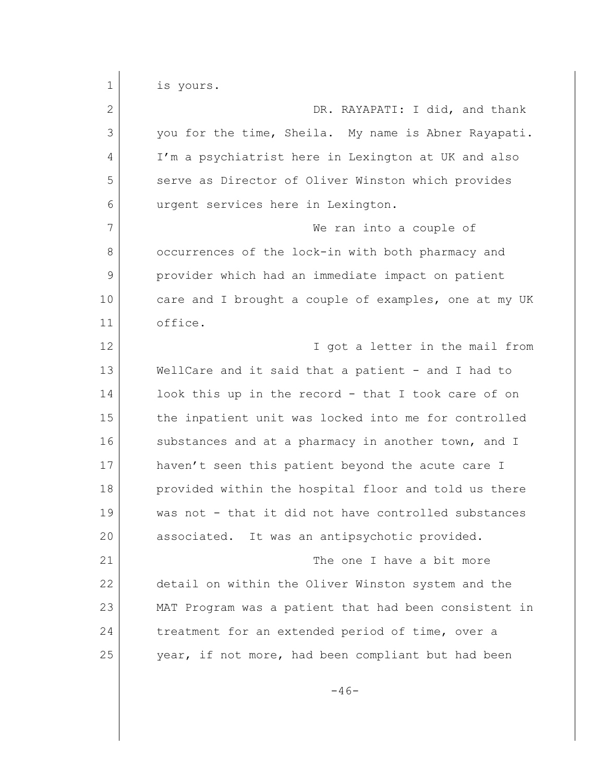1 is yours. 2 DR. RAYAPATI: I did, and thank 3 you for the time, Sheila. My name is Abner Rayapati. 4 I'm a psychiatrist here in Lexington at UK and also 5 serve as Director of Oliver Winston which provides 6 urgent services here in Lexington. 7 We ran into a couple of 8 occurrences of the lock-in with both pharmacy and 9 provider which had an immediate impact on patient 10 care and I brought a couple of examples, one at my UK 11 office. 12 **I** got a letter in the mail from 13 WellCare and it said that a patient - and I had to 14 look this up in the record - that I took care of on 15 the inpatient unit was locked into me for controlled 16 substances and at a pharmacy in another town, and I 17 haven't seen this patient beyond the acute care I 18 provided within the hospital floor and told us there 19 was not - that it did not have controlled substances 20 associated. It was an antipsychotic provided. 21 The one I have a bit more 22 detail on within the Oliver Winston system and the 23 MAT Program was a patient that had been consistent in 24 treatment for an extended period of time, over a 25 year, if not more, had been compliant but had been

 $-46-$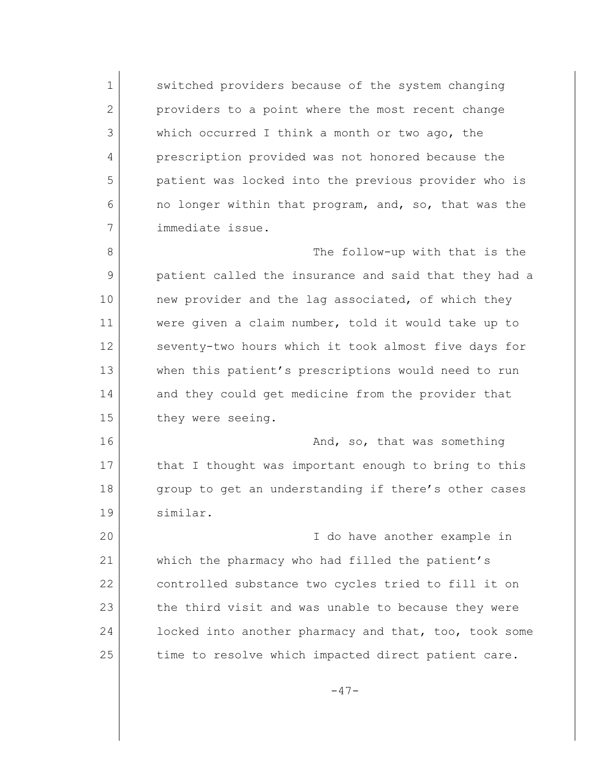1 switched providers because of the system changing 2 providers to a point where the most recent change 3 which occurred I think a month or two ago, the 4 prescription provided was not honored because the 5 patient was locked into the previous provider who is 6 no longer within that program, and, so, that was the 7 immediate issue.

8 a strategies of the follow-up with that is the 9 patient called the insurance and said that they had a 10 new provider and the lag associated, of which they 11 were given a claim number, told it would take up to 12 seventy-two hours which it took almost five days for 13 when this patient's prescriptions would need to run 14 and they could get medicine from the provider that 15 they were seeing.

16 and, so, that was something 17 that I thought was important enough to bring to this 18 group to get an understanding if there's other cases 19 similar.

20 I do have another example in 21 which the pharmacy who had filled the patient's 22 controlled substance two cycles tried to fill it on 23 the third visit and was unable to because they were 24 locked into another pharmacy and that, too, took some 25 time to resolve which impacted direct patient care.

-47-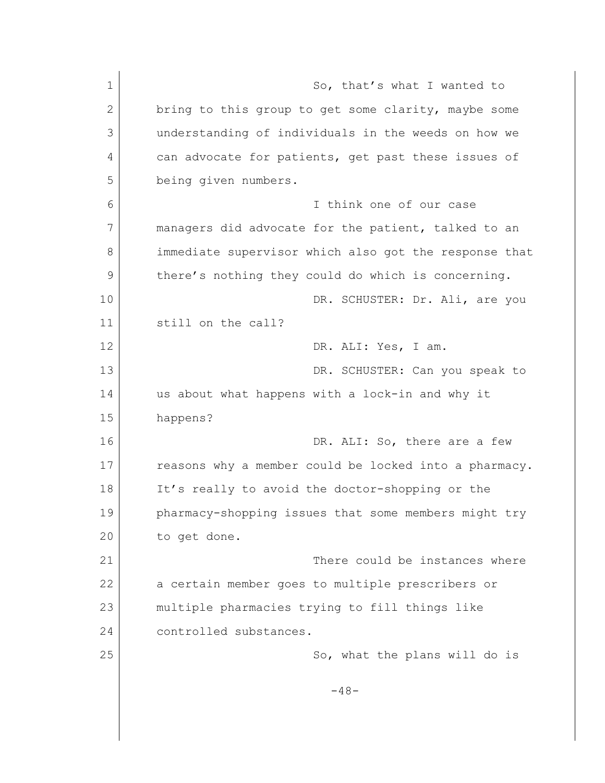1 So, that's what I wanted to 2 bring to this group to get some clarity, maybe some 3 understanding of individuals in the weeds on how we 4 can advocate for patients, get past these issues of 5 being given numbers. 6 I think one of our case 7 managers did advocate for the patient, talked to an 8 immediate supervisor which also got the response that 9 there's nothing they could do which is concerning. 10 DR. SCHUSTER: Dr. Ali, are you 11 still on the call? 12 DR. ALI: Yes, I am. 13 DR. SCHUSTER: Can you speak to 14 us about what happens with a lock-in and why it 15 happens? 16 DR. ALI: So, there are a few 17 reasons why a member could be locked into a pharmacy. 18 It's really to avoid the doctor-shopping or the 19 pharmacy-shopping issues that some members might try 20 to get done. 21 There could be instances where 22 a certain member goes to multiple prescribers or 23 multiple pharmacies trying to fill things like 24 controlled substances. 25 So, what the plans will do is  $-48-$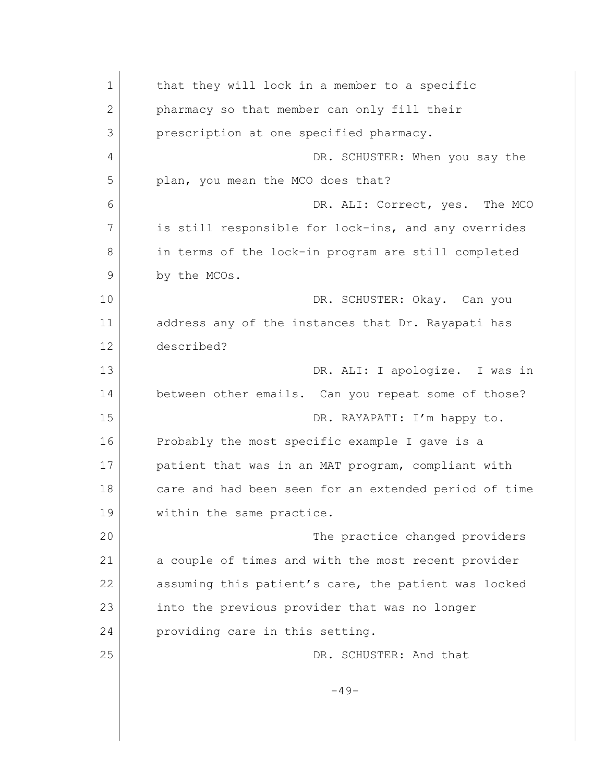| $\mathbf 1$ | that they will lock in a member to a specific         |
|-------------|-------------------------------------------------------|
| 2           | pharmacy so that member can only fill their           |
| 3           | prescription at one specified pharmacy.               |
| 4           | DR. SCHUSTER: When you say the                        |
| 5           | plan, you mean the MCO does that?                     |
| 6           | DR. ALI: Correct, yes. The MCO                        |
| 7           | is still responsible for lock-ins, and any overrides  |
| 8           | in terms of the lock-in program are still completed   |
| 9           | by the MCOs.                                          |
| 10          | DR. SCHUSTER: Okay. Can you                           |
| 11          | address any of the instances that Dr. Rayapati has    |
| 12          | described?                                            |
| 13          | DR. ALI: I apologize. I was in                        |
| 14          | between other emails. Can you repeat some of those?   |
| 15          | DR. RAYAPATI: I'm happy to.                           |
| 16          | Probably the most specific example I gave is a        |
| 17          | patient that was in an MAT program, compliant with    |
| 18          | care and had been seen for an extended period of time |
| 19          | within the same practice.                             |
| 20          | The practice changed providers                        |
| 21          | a couple of times and with the most recent provider   |
| 22          | assuming this patient's care, the patient was locked  |
| 23          | into the previous provider that was no longer         |
| 24          | providing care in this setting.                       |
| 25          | DR. SCHUSTER: And that                                |
|             | $-49-$                                                |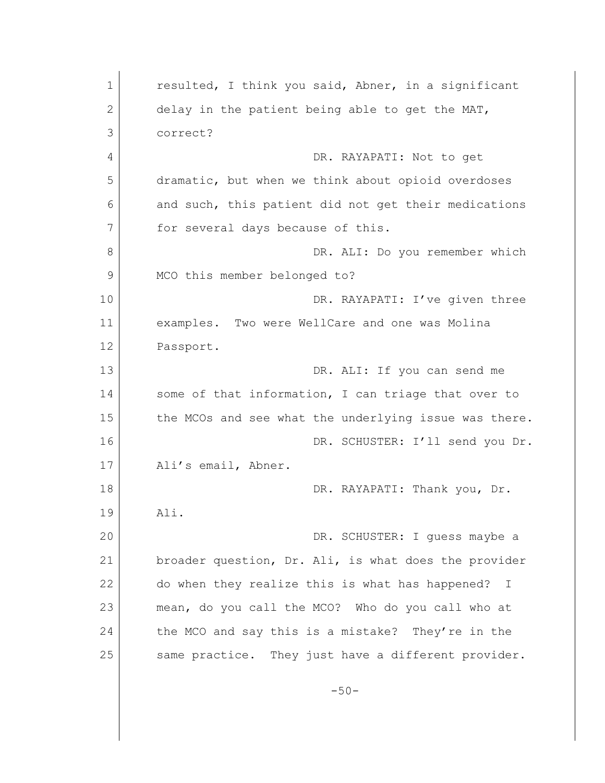1 **c** resulted, I think you said, Abner, in a significant 2 delay in the patient being able to get the MAT, 3 correct? 4 DR. RAYAPATI: Not to get 5 dramatic, but when we think about opioid overdoses 6 and such, this patient did not get their medications 7 for several days because of this. 8 DR. ALI: Do you remember which 9 MCO this member belonged to? 10 DR. RAYAPATI: I've given three 11 examples. Two were WellCare and one was Molina 12 Passport. 13 DR. ALI: If you can send me 14 some of that information, I can triage that over to 15 the MCOs and see what the underlying issue was there. 16 DR. SCHUSTER: I'll send you Dr. 17 Ali's email, Abner. 18 DR. RAYAPATI: Thank you, Dr. 19 Ali. 20 DR. SCHUSTER: I guess maybe a 21 broader question, Dr. Ali, is what does the provider 22 do when they realize this is what has happened? I 23 mean, do you call the MCO? Who do you call who at 24 the MCO and say this is a mistake? They're in the 25 Same practice. They just have a different provider.  $-50-$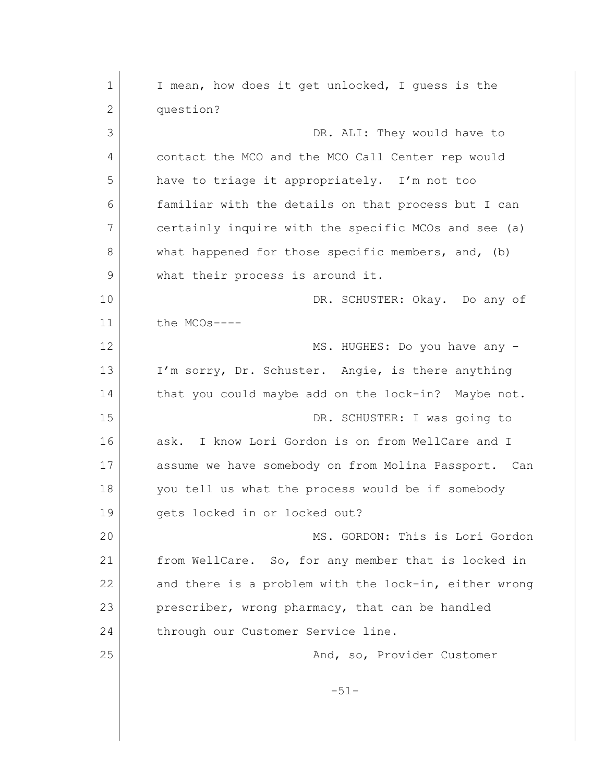| $\mathbf 1$  | I mean, how does it get unlocked, I guess is the      |
|--------------|-------------------------------------------------------|
| $\mathbf{2}$ | question?                                             |
| 3            | DR. ALI: They would have to                           |
| 4            | contact the MCO and the MCO Call Center rep would     |
| 5            | have to triage it appropriately. I'm not too          |
| 6            | familiar with the details on that process but I can   |
| 7            | certainly inquire with the specific MCOs and see (a)  |
| 8            | what happened for those specific members, and, (b)    |
| 9            | what their process is around it.                      |
| 10           | DR. SCHUSTER: Okay. Do any of                         |
| 11           | the MCOs----                                          |
| 12           | MS. HUGHES: Do you have any -                         |
| 13           | I'm sorry, Dr. Schuster. Angie, is there anything     |
| 14           | that you could maybe add on the lock-in? Maybe not.   |
| 15           | DR. SCHUSTER: I was going to                          |
| 16           | ask. I know Lori Gordon is on from WellCare and I     |
| 17           | assume we have somebody on from Molina Passport. Can  |
| 18           | you tell us what the process would be if somebody     |
| 19           | gets locked in or locked out?                         |
| 20           | MS. GORDON: This is Lori Gordon                       |
| 21           | from WellCare. So, for any member that is locked in   |
| 22           | and there is a problem with the lock-in, either wrong |
| 23           | prescriber, wrong pharmacy, that can be handled       |
| 24           | through our Customer Service line.                    |
| 25           | And, so, Provider Customer                            |
|              | $-51-$                                                |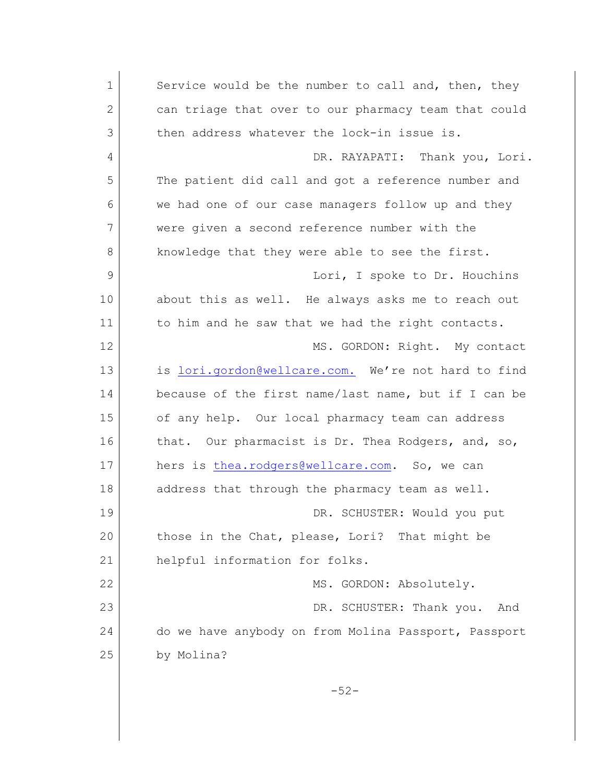1 Service would be the number to call and, then, they 2 can triage that over to our pharmacy team that could 3 then address whatever the lock-in issue is. 4 DR. RAYAPATI: Thank you, Lori. 5 The patient did call and got a reference number and 6 we had one of our case managers follow up and they 7 were given a second reference number with the 8 knowledge that they were able to see the first. 9 Lori, I spoke to Dr. Houchins 10 about this as well. He always asks me to reach out 11 to him and he saw that we had the right contacts. 12 MS. GORDON: Right. My contact 13 is [lori.gordon@wellcare.com.](mailto:lori.gordon@wellcare.com.) We're not hard to find 14 because of the first name/last name, but if I can be 15 of any help. Our local pharmacy team can address 16 that. Our pharmacist is Dr. Thea Rodgers, and, so, 17 hers is [thea.rodgers@wellcare.com](mailto:thea.rodgers@wellcare.com). So, we can 18 address that through the pharmacy team as well. 19 DR. SCHUSTER: Would you put 20 those in the Chat, please, Lori? That might be 21 helpful information for folks. 22 MS. GORDON: Absolutely. 23 DR. SCHUSTER: Thank you. And 24 do we have anybody on from Molina Passport, Passport 25 by Molina? -52-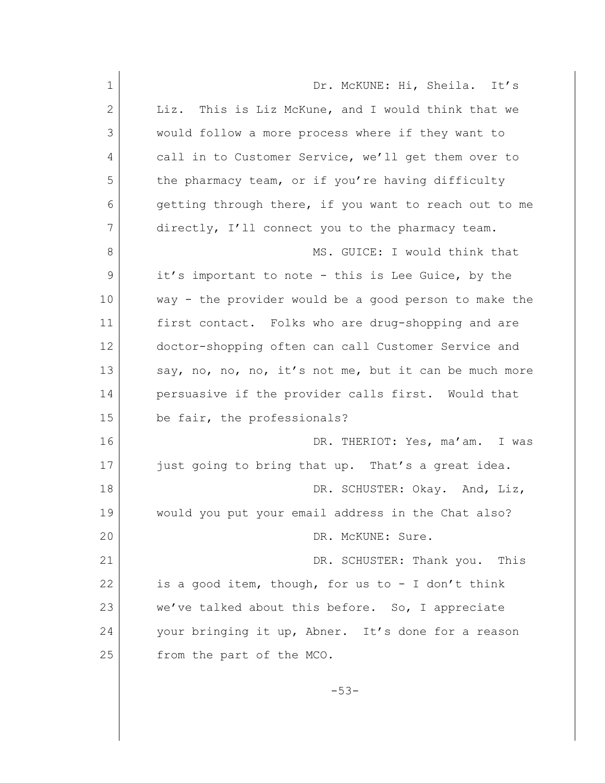| $\mathbf 1$  | Dr. McKUNE: Hi, Sheila. It's                          |
|--------------|-------------------------------------------------------|
|              |                                                       |
| $\mathbf{2}$ | Liz. This is Liz McKune, and I would think that we    |
| 3            | would follow a more process where if they want to     |
| 4            | call in to Customer Service, we'll get them over to   |
| 5            | the pharmacy team, or if you're having difficulty     |
| 6            | getting through there, if you want to reach out to me |
| 7            | directly, I'll connect you to the pharmacy team.      |
| 8            | MS. GUICE: I would think that                         |
| 9            | it's important to note - this is Lee Guice, by the    |
| 10           | way - the provider would be a good person to make the |
| 11           | first contact. Folks who are drug-shopping and are    |
| 12           | doctor-shopping often can call Customer Service and   |
| 13           | say, no, no, no, it's not me, but it can be much more |
| 14           | persuasive if the provider calls first. Would that    |
| 15           | be fair, the professionals?                           |
| 16           | DR. THERIOT: Yes, ma'am. I was                        |
| 17           | just going to bring that up. That's a great idea.     |
| 18           | DR. SCHUSTER: Okay. And, Liz,                         |
| 19           | would you put your email address in the Chat also?    |
| 20           | DR. McKUNE: Sure.                                     |
| 21           | DR. SCHUSTER: Thank you. This                         |
| 22           | is a good item, though, for us to - I don't think     |
| 23           | we've talked about this before. So, I appreciate      |
| 24           | your bringing it up, Abner. It's done for a reason    |
| 25           | from the part of the MCO.                             |
|              |                                                       |

-53-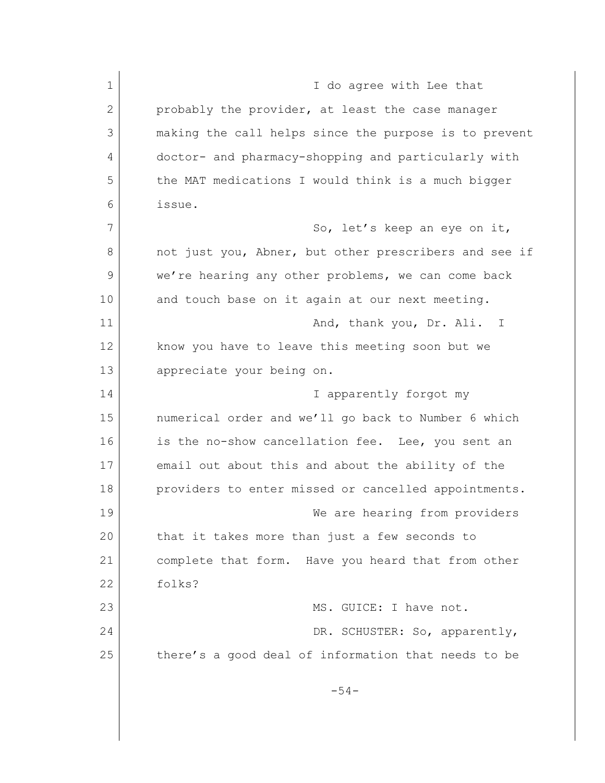1 I do agree with Lee that 2 probably the provider, at least the case manager 3 making the call helps since the purpose is to prevent 4 doctor- and pharmacy-shopping and particularly with 5 the MAT medications I would think is a much bigger 6 issue. 7 So, let's keep an eye on it, 8 not just you, Abner, but other prescribers and see if 9 we're hearing any other problems, we can come back 10 and touch base on it again at our next meeting. 11 and, thank you, Dr. Ali. I 12 know you have to leave this meeting soon but we 13 appreciate your being on. 14 I apparently forgot my 15 numerical order and we'll go back to Number 6 which 16 is the no-show cancellation fee. Lee, you sent an 17 email out about this and about the ability of the 18 providers to enter missed or cancelled appointments. 19 We are hearing from providers 20 that it takes more than just a few seconds to 21 complete that form. Have you heard that from other 22 folks? 23 MS. GUICE: I have not. 24 | DR. SCHUSTER: So, apparently, 25 there's a good deal of information that needs to be -54-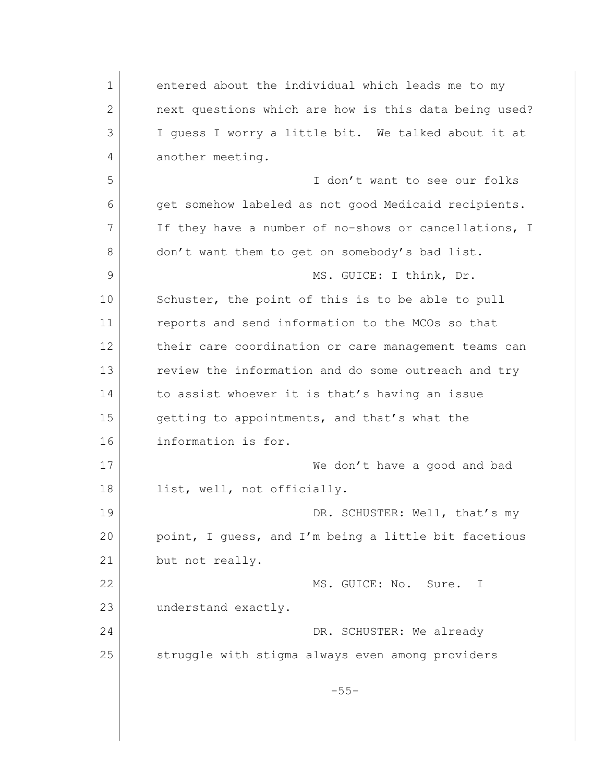1 entered about the individual which leads me to my 2 **next questions which are how is this data being used?** 3 I guess I worry a little bit. We talked about it at 4 another meeting. 5 I don't want to see our folks 6 get somehow labeled as not good Medicaid recipients. 7 If they have a number of no-shows or cancellations, I 8 don't want them to get on somebody's bad list. 9 MS. GUICE: I think, Dr. 10 Schuster, the point of this is to be able to pull 11 reports and send information to the MCOs so that 12 their care coordination or care management teams can 13 **13** review the information and do some outreach and try 14 to assist whoever it is that's having an issue 15 getting to appointments, and that's what the 16 information is for. 17 We don't have a good and bad 18 list, well, not officially. 19 DR. SCHUSTER: Well, that's my 20 point, I guess, and I'm being a little bit facetious 21 but not really. 22 MS. GUICE: No. Sure. I 23 understand exactly. 24 DR. SCHUSTER: We already 25 struggle with stigma always even among providers -55-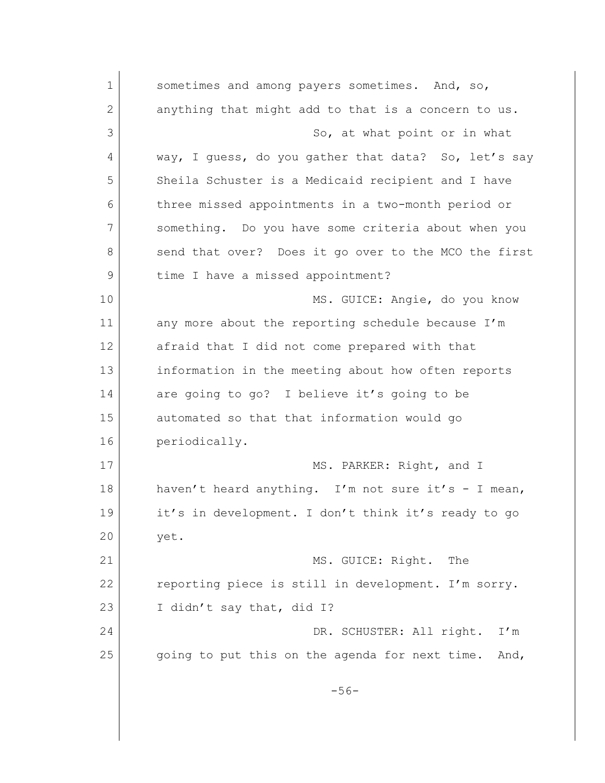1 sometimes and among payers sometimes. And, so, 2 anything that might add to that is a concern to us. 3 So, at what point or in what 4 way, I guess, do you gather that data? So, let's say 5 Sheila Schuster is a Medicaid recipient and I have 6 three missed appointments in a two-month period or 7 something. Do you have some criteria about when you 8 send that over? Does it go over to the MCO the first 9 | time I have a missed appointment? 10 MS. GUICE: Angie, do you know 11 any more about the reporting schedule because I'm 12 afraid that I did not come prepared with that 13 information in the meeting about how often reports 14 are going to go? I believe it's going to be 15 automated so that that information would go 16 periodically. 17 MS. PARKER: Right, and I 18 haven't heard anything. I'm not sure it's - I mean, 19 it's in development. I don't think it's ready to go 20 yet. 21 MS. GUICE: Right. The 22 reporting piece is still in development. I'm sorry. 23 I didn't say that, did I? 24 DR. SCHUSTER: All right. I'm 25 going to put this on the agenda for next time. And, -56-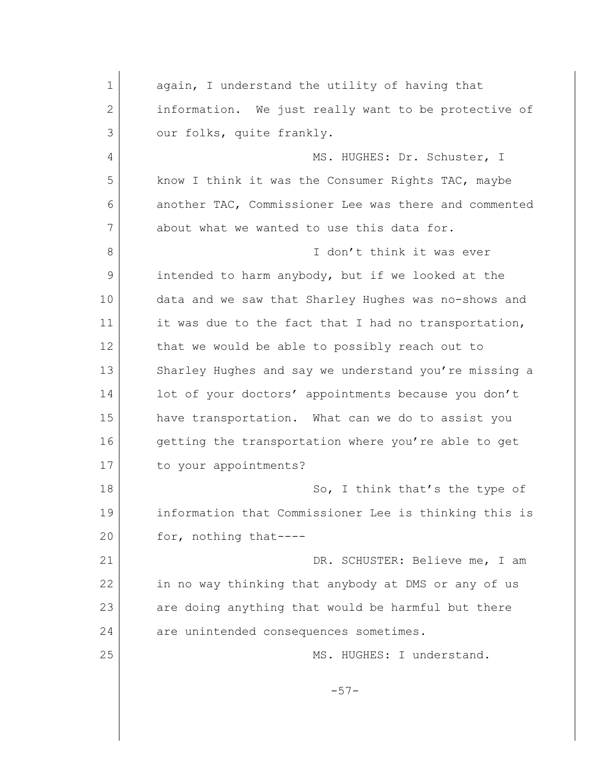1 again, I understand the utility of having that 2 information. We just really want to be protective of 3 our folks, quite frankly. 4 MS. HUGHES: Dr. Schuster, I 5 know I think it was the Consumer Rights TAC, maybe 6 another TAC, Commissioner Lee was there and commented 7 about what we wanted to use this data for. 8 **I** don't think it was ever 9 intended to harm anybody, but if we looked at the 10 data and we saw that Sharley Hughes was no-shows and 11 it was due to the fact that I had no transportation, 12 that we would be able to possibly reach out to 13 Sharley Hughes and say we understand you're missing a 14 lot of your doctors' appointments because you don't 15 have transportation. What can we do to assist you 16 getting the transportation where you're able to get 17 to your appointments? 18 So, I think that's the type of 19 information that Commissioner Lee is thinking this is 20 for, nothing that----21 DR. SCHUSTER: Believe me, I am 22 in no way thinking that anybody at DMS or any of us 23 are doing anything that would be harmful but there 24 are unintended consequences sometimes. 25 MS. HUGHES: I understand. -57-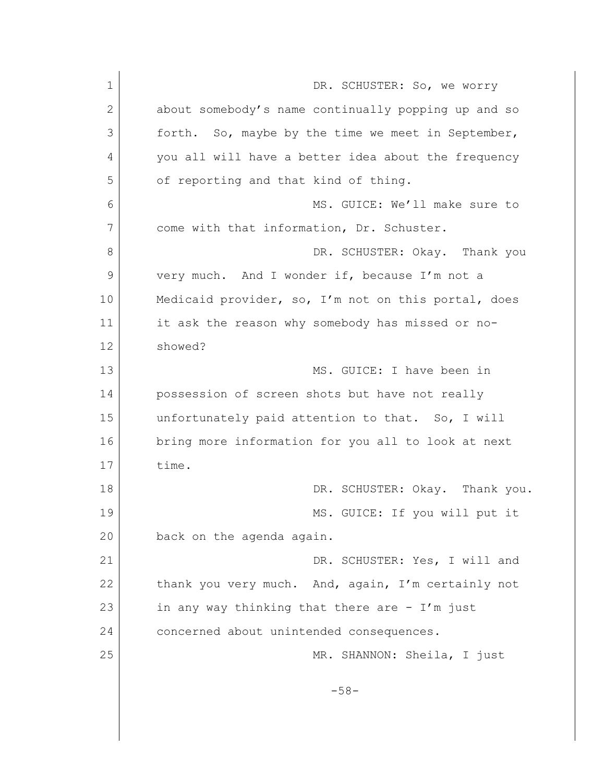| $\mathbf 1$ | DR. SCHUSTER: So, we worry                          |
|-------------|-----------------------------------------------------|
| 2           | about somebody's name continually popping up and so |
| 3           | forth. So, maybe by the time we meet in September,  |
| 4           | you all will have a better idea about the frequency |
| 5           | of reporting and that kind of thing.                |
| 6           | MS. GUICE: We'll make sure to                       |
| 7           | come with that information, Dr. Schuster.           |
| 8           | DR. SCHUSTER: Okay. Thank you                       |
| 9           | very much. And I wonder if, because I'm not a       |
| 10          | Medicaid provider, so, I'm not on this portal, does |
| 11          | it ask the reason why somebody has missed or no-    |
| 12          | showed?                                             |
| 13          | MS. GUICE: I have been in                           |
| 14          | possession of screen shots but have not really      |
| 15          | unfortunately paid attention to that. So, I will    |
| 16          | bring more information for you all to look at next  |
| 17          | time.                                               |
| 18          | DR. SCHUSTER: Okay. Thank you.                      |
| 19          | MS. GUICE: If you will put it                       |
| 20          | back on the agenda again.                           |
| 21          | DR. SCHUSTER: Yes, I will and                       |
| 22          | thank you very much. And, again, I'm certainly not  |
| 23          | in any way thinking that there are $-$ I'm just     |
| 24          | concerned about unintended consequences.            |
| 25          | MR. SHANNON: Sheila, I just                         |
|             | $-58-$                                              |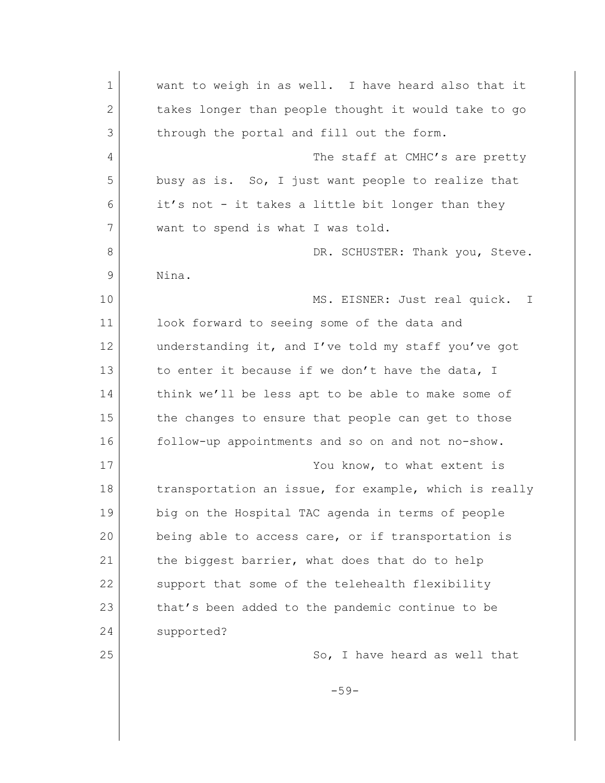| $\mathbf 1$ | want to weigh in as well. I have heard also that it   |
|-------------|-------------------------------------------------------|
| 2           | takes longer than people thought it would take to go  |
| 3           | through the portal and fill out the form.             |
| 4           | The staff at CMHC's are pretty                        |
| 5           | busy as is. So, I just want people to realize that    |
| 6           | it's not - it takes a little bit longer than they     |
| 7           | want to spend is what I was told.                     |
| 8           | DR. SCHUSTER: Thank you, Steve.                       |
| 9           | Nina.                                                 |
| 10          | MS. EISNER: Just real quick.<br>$\mathbb{I}$          |
| 11          | look forward to seeing some of the data and           |
| 12          | understanding it, and I've told my staff you've got   |
| 13          | to enter it because if we don't have the data, I      |
| 14          | think we'll be less apt to be able to make some of    |
| 15          | the changes to ensure that people can get to those    |
| 16          | follow-up appointments and so on and not no-show.     |
| 17          | You know, to what extent is                           |
| 18          | transportation an issue, for example, which is really |
| 19          | big on the Hospital TAC agenda in terms of people     |
| 20          | being able to access care, or if transportation is    |
| 21          | the biggest barrier, what does that do to help        |
| 22          | support that some of the telehealth flexibility       |
| 23          | that's been added to the pandemic continue to be      |
| 24          | supported?                                            |
| 25          | So, I have heard as well that                         |
|             | $-59-$                                                |
|             |                                                       |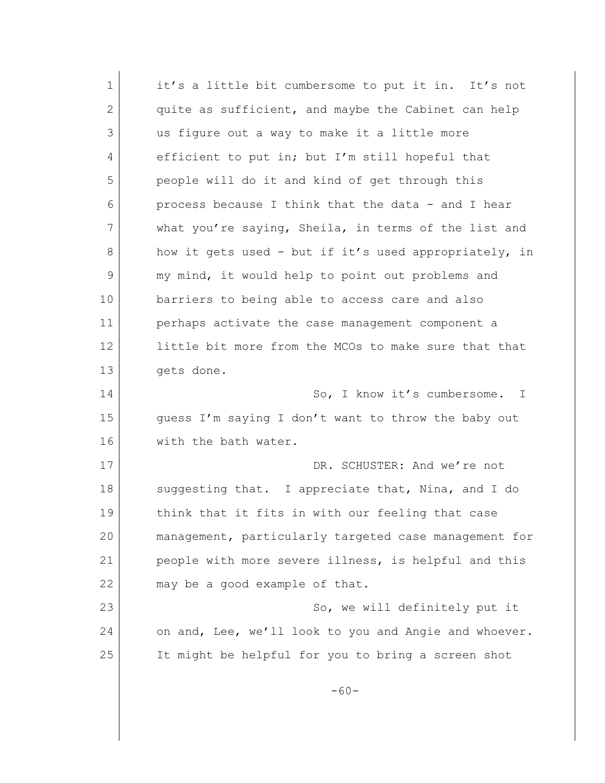| 1  | it's a little bit cumbersome to put it in. It's not   |
|----|-------------------------------------------------------|
| 2  | quite as sufficient, and maybe the Cabinet can help   |
| 3  | us figure out a way to make it a little more          |
| 4  | efficient to put in; but I'm still hopeful that       |
| 5  | people will do it and kind of get through this        |
| 6  | process because I think that the data - and I hear    |
| 7  | what you're saying, Sheila, in terms of the list and  |
| 8  | how it gets used - but if it's used appropriately, in |
| 9  | my mind, it would help to point out problems and      |
| 10 | barriers to being able to access care and also        |
| 11 | perhaps activate the case management component a      |
| 12 | little bit more from the MCOs to make sure that that  |
| 13 | gets done.                                            |
| 14 | So, I know it's cumbersome.<br>$\mathbb{I}$           |
| 15 | guess I'm saying I don't want to throw the baby out   |
| 16 | with the bath water.                                  |
| 17 | DR. SCHUSTER: And we're not                           |
| 18 | suggesting that. I appreciate that, Nina, and I do    |
| 19 | think that it fits in with our feeling that case      |
| 20 | management, particularly targeted case management for |
| 21 | people with more severe illness, is helpful and this  |
| 22 | may be a good example of that.                        |
| 23 | So, we will definitely put it                         |
| 24 | on and, Lee, we'll look to you and Angie and whoever. |
| 25 | It might be helpful for you to bring a screen shot    |
|    | $-60-$                                                |
|    |                                                       |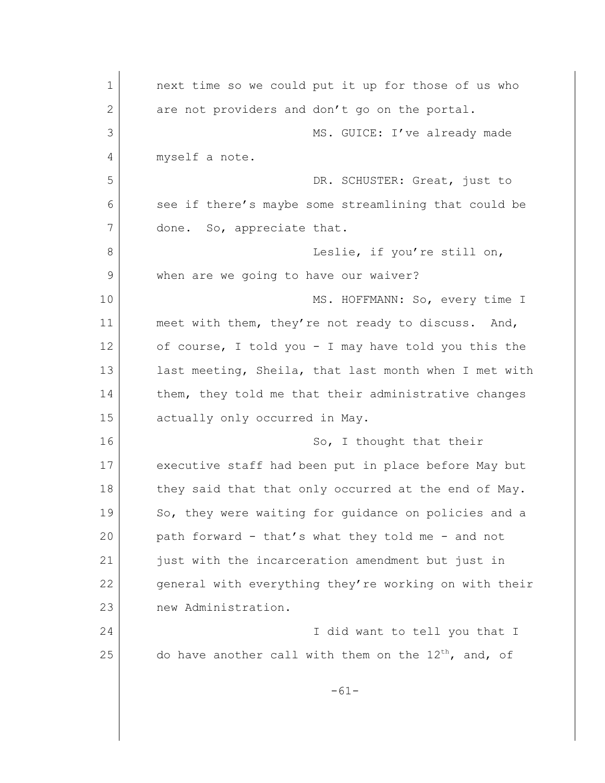1 **next time so we could put it up for those of us who** 2 are not providers and don't go on the portal. 3 MS. GUICE: I've already made 4 myself a note. 5 DR. SCHUSTER: Great, just to 6 see if there's maybe some streamlining that could be 7 done. So, appreciate that. 8 Leslie, if you're still on, 9 when are we going to have our waiver? 10 MS. HOFFMANN: So, every time I 11 meet with them, they're not ready to discuss. And, 12 of course, I told you - I may have told you this the 13 last meeting, Sheila, that last month when I met with 14 them, they told me that their administrative changes 15 actually only occurred in May. 16 So, I thought that their 17 executive staff had been put in place before May but 18 they said that that only occurred at the end of May. 19 So, they were waiting for quidance on policies and a 20 path forward - that's what they told me - and not 21 just with the incarceration amendment but just in 22 general with everything they're working on with their 23 new Administration. 24 I did want to tell you that I 25 do have another call with them on the  $12^{th}$ , and, of -61-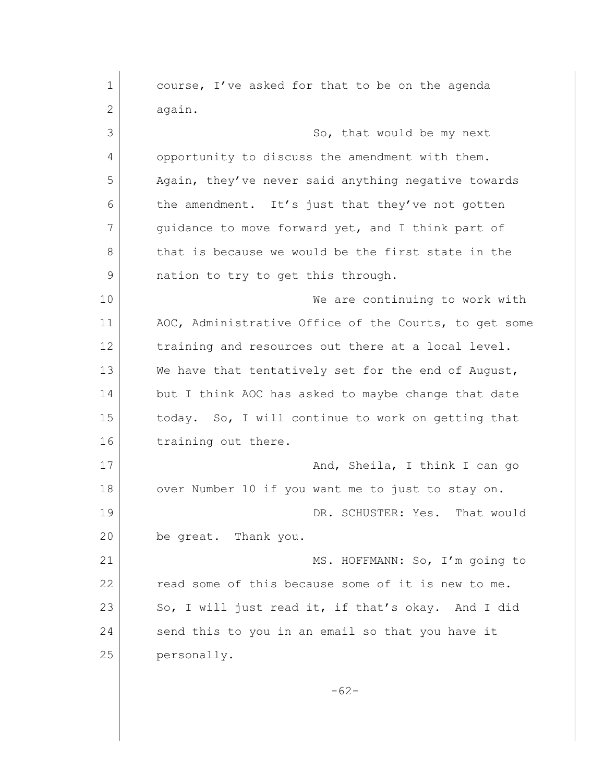1 course, I've asked for that to be on the agenda 2 again. 3 So, that would be my next 4 opportunity to discuss the amendment with them. 5 Again, they've never said anything negative towards 6 the amendment. It's just that they've not gotten 7 quidance to move forward yet, and I think part of 8 that is because we would be the first state in the 9 also nation to try to get this through. 10 We are continuing to work with 11 AOC, Administrative Office of the Courts, to get some 12 training and resources out there at a local level. 13 We have that tentatively set for the end of August, 14 but I think AOC has asked to maybe change that date 15 today. So, I will continue to work on getting that 16 training out there. 17 And, Sheila, I think I can go 18 over Number 10 if you want me to just to stay on. 19 DR. SCHUSTER: Yes. That would 20 be great. Thank you. 21 MS. HOFFMANN: So, I'm going to 22 read some of this because some of it is new to me. 23 So, I will just read it, if that's okay. And I did 24 send this to you in an email so that you have it 25 personally. -62-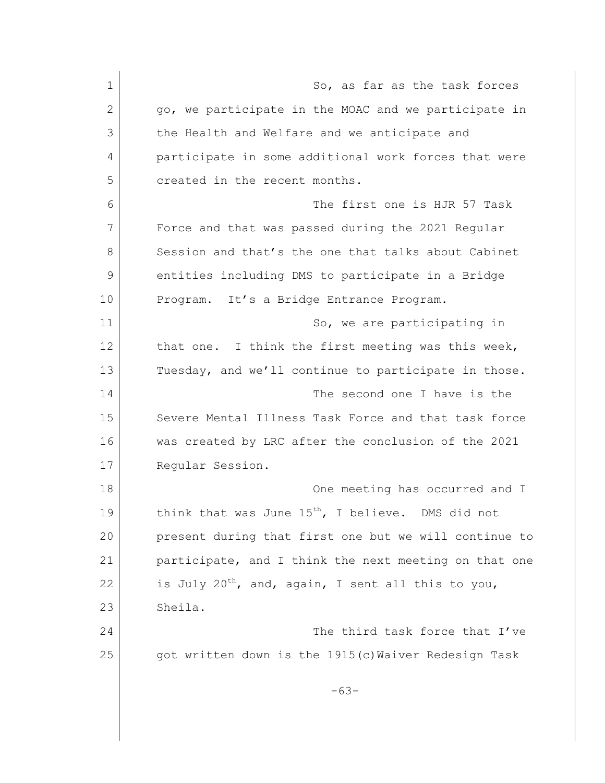1 So, as far as the task forces 2 | go, we participate in the MOAC and we participate in 3 the Health and Welfare and we anticipate and 4 participate in some additional work forces that were 5 created in the recent months. 6 The first one is HJR 57 Task 7 Force and that was passed during the 2021 Regular 8 Session and that's the one that talks about Cabinet 9 entities including DMS to participate in a Bridge 10 Program. It's a Bridge Entrance Program. 11 So, we are participating in 12 that one. I think the first meeting was this week, 13 Tuesday, and we'll continue to participate in those. 14 The second one I have is the 15 Severe Mental Illness Task Force and that task force 16 was created by LRC after the conclusion of the 2021 17 Reqular Session. 18 One meeting has occurred and I 19 think that was June  $15^{th}$ , I believe. DMS did not 20 present during that first one but we will continue to 21 participate, and I think the next meeting on that one 22 is July 20<sup>th</sup>, and, again, I sent all this to you, 23 Sheila. 24 The third task force that I've 25 got written down is the 1915(c)Waiver Redesign Task -63-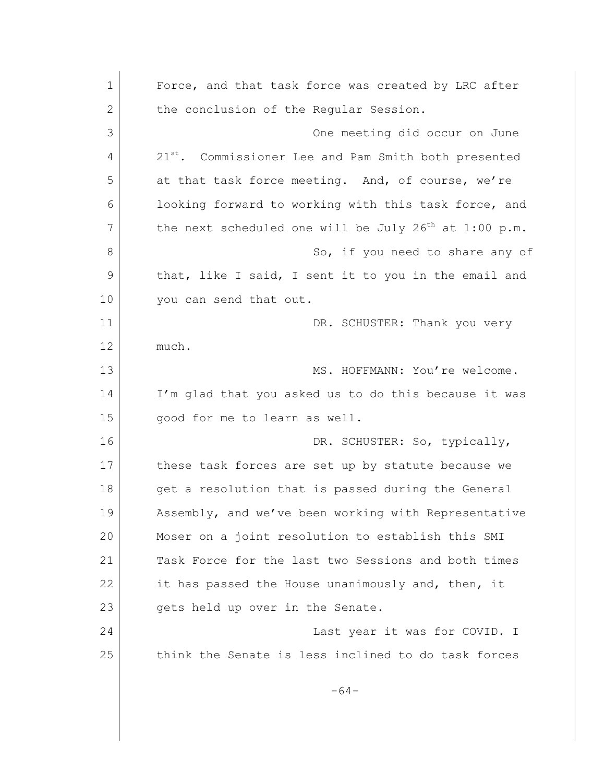1 Force, and that task force was created by LRC after 2 the conclusion of the Regular Session. 3 One meeting did occur on June 4 21<sup>st</sup>. Commissioner Lee and Pam Smith both presented 5 at that task force meeting. And, of course, we're 6 **looking forward to working with this task force, and** 7 the next scheduled one will be July  $26<sup>th</sup>$  at 1:00 p.m. 8 So, if you need to share any of 9 that, like I said, I sent it to you in the email and 10 you can send that out. 11 DR. SCHUSTER: Thank you very 12 much. 13 MS. HOFFMANN: You're welcome. 14 I'm glad that you asked us to do this because it was 15 | good for me to learn as well. 16 DR. SCHUSTER: So, typically, 17 these task forces are set up by statute because we 18 | get a resolution that is passed during the General 19 Assembly, and we've been working with Representative 20 Moser on a joint resolution to establish this SMI 21 Task Force for the last two Sessions and both times 22 it has passed the House unanimously and, then, it 23 gets held up over in the Senate. 24 **Last year it was for COVID.** I 25 think the Senate is less inclined to do task forces -64-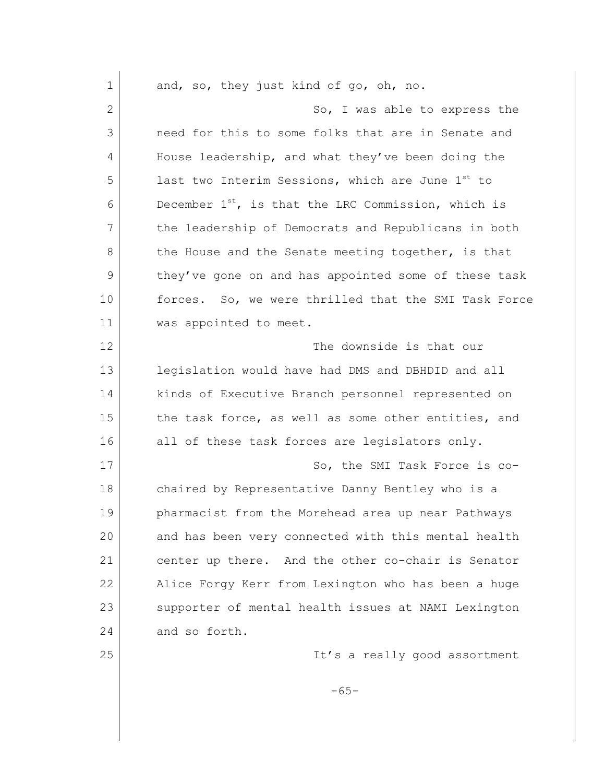| $\mathbf 1$ | and, so, they just kind of go, oh, no.                       |
|-------------|--------------------------------------------------------------|
| 2           | So, I was able to express the                                |
| 3           | need for this to some folks that are in Senate and           |
| 4           | House leadership, and what they've been doing the            |
| 5           | last two Interim Sessions, which are June 1 <sup>st</sup> to |
| 6           | December $1^{st}$ , is that the LRC Commission, which is     |
| 7           | the leadership of Democrats and Republicans in both          |
| 8           | the House and the Senate meeting together, is that           |
| 9           | they've gone on and has appointed some of these task         |
| 10          | forces. So, we were thrilled that the SMI Task Force         |
| 11          | was appointed to meet.                                       |
| 12          | The downside is that our                                     |
| 13          | legislation would have had DMS and DBHDID and all            |
| 14          | kinds of Executive Branch personnel represented on           |
| 15          | the task force, as well as some other entities, and          |
| 16          | all of these task forces are legislators only.               |
| 17          | So, the SMI Task Force is co-                                |
| 18          | chaired by Representative Danny Bentley who is a             |
| 19          | pharmacist from the Morehead area up near Pathways           |
| 20          | and has been very connected with this mental health          |
| 21          | center up there. And the other co-chair is Senator           |
| 22          | Alice Forgy Kerr from Lexington who has been a huge          |
| 23          | supporter of mental health issues at NAMI Lexington          |
| 24          | and so forth.                                                |
| 25          | It's a really good assortment                                |
|             | $-65-$                                                       |
|             |                                                              |
|             |                                                              |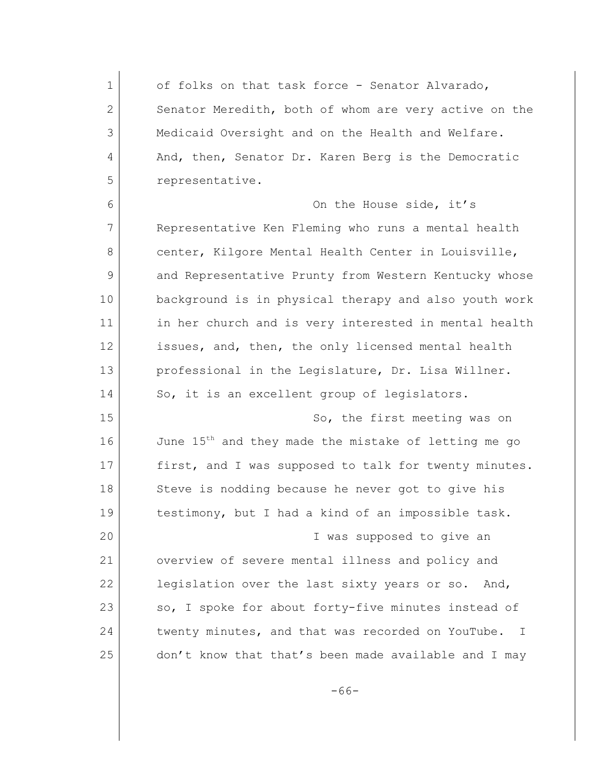1 of folks on that task force - Senator Alvarado, 2 Senator Meredith, both of whom are very active on the 3 Medicaid Oversight and on the Health and Welfare. 4 And, then, Senator Dr. Karen Berg is the Democratic 5 representative.

6 On the House side, it's 7 Representative Ken Fleming who runs a mental health 8 center, Kilgore Mental Health Center in Louisville, 9 and Representative Prunty from Western Kentucky whose 10 background is in physical therapy and also youth work 11 in her church and is very interested in mental health 12 issues, and, then, the only licensed mental health 13 professional in the Legislature, Dr. Lisa Willner. 14 So, it is an excellent group of legislators.

15 So, the first meeting was on 16 June 15<sup>th</sup> and they made the mistake of letting me go 17 first, and I was supposed to talk for twenty minutes. 18 Steve is nodding because he never got to give his 19 testimony, but I had a kind of an impossible task. 20 I was supposed to give an 21 overview of severe mental illness and policy and 22 legislation over the last sixty years or so. And, 23 so, I spoke for about forty-five minutes instead of

25 don't know that that's been made available and I may

24 twenty minutes, and that was recorded on YouTube. I

-66-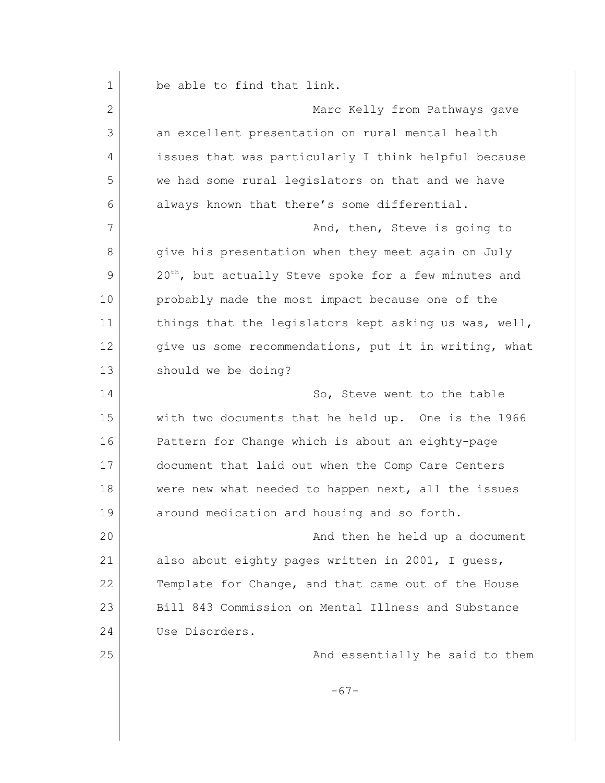| 1  | be able to find that link.                                        |
|----|-------------------------------------------------------------------|
| 2  | Marc Kelly from Pathways gave                                     |
| 3  | an excellent presentation on rural mental health                  |
| 4  | issues that was particularly I think helpful because              |
| 5  | we had some rural legislators on that and we have                 |
| 6  | always known that there's some differential.                      |
| 7  | And, then, Steve is going to                                      |
| 8  | give his presentation when they meet again on July                |
| 9  | 20 <sup>th</sup> , but actually Steve spoke for a few minutes and |
| 10 | probably made the most impact because one of the                  |
| 11 | things that the legislators kept asking us was, well,             |
| 12 | give us some recommendations, put it in writing, what             |
| 13 | should we be doing?                                               |
| 14 | So, Steve went to the table                                       |
| 15 | with two documents that he held up. One is the 1966               |
| 16 | Pattern for Change which is about an eighty-page                  |
| 17 | document that laid out when the Comp Care Centers                 |
| 18 | were new what needed to happen next, all the issues               |
| 19 | around medication and housing and so forth.                       |
| 20 | And then he held up a document                                    |
| 21 | also about eighty pages written in 2001, I guess,                 |
| 22 | Template for Change, and that came out of the House               |
| 23 | Bill 843 Commission on Mental Illness and Substance               |
| 24 | Use Disorders.                                                    |
| 25 | And essentially he said to them                                   |
|    | $-67-$                                                            |
|    |                                                                   |
|    |                                                                   |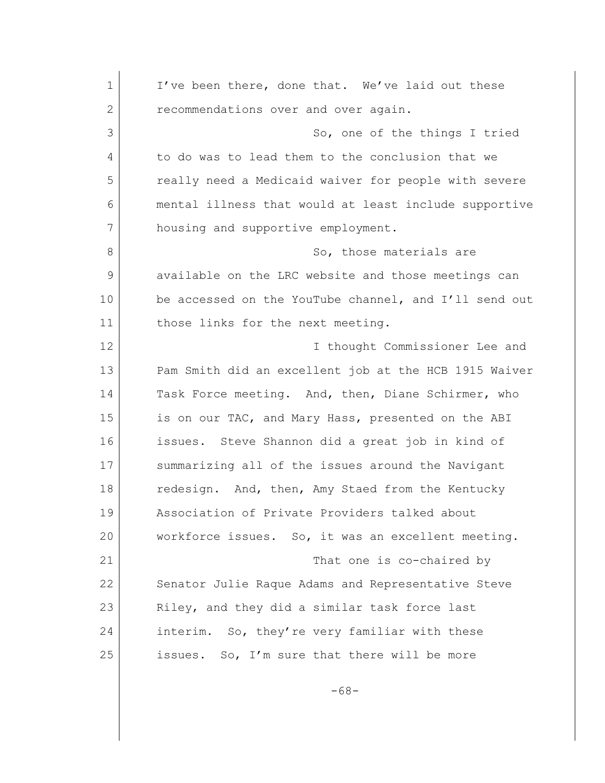1 I've been there, done that. We've laid out these 2 recommendations over and over again. 3 So, one of the things I tried 4 to do was to lead them to the conclusion that we 5 really need a Medicaid waiver for people with severe 6 mental illness that would at least include supportive 7 housing and supportive employment. 8 So, those materials are 9 available on the LRC website and those meetings can 10 be accessed on the YouTube channel, and I'll send out 11 those links for the next meeting. 12 I thought Commissioner Lee and 13 Pam Smith did an excellent job at the HCB 1915 Waiver 14 Task Force meeting. And, then, Diane Schirmer, who 15 is on our TAC, and Mary Hass, presented on the ABI 16 issues. Steve Shannon did a great job in kind of 17 summarizing all of the issues around the Navigant 18 redesign. And, then, Amy Staed from the Kentucky 19 Association of Private Providers talked about 20 workforce issues. So, it was an excellent meeting. 21 That one is co-chaired by 22 Senator Julie Raque Adams and Representative Steve 23 Riley, and they did a similar task force last 24 interim. So, they're very familiar with these 25 | issues. So, I'm sure that there will be more

-68-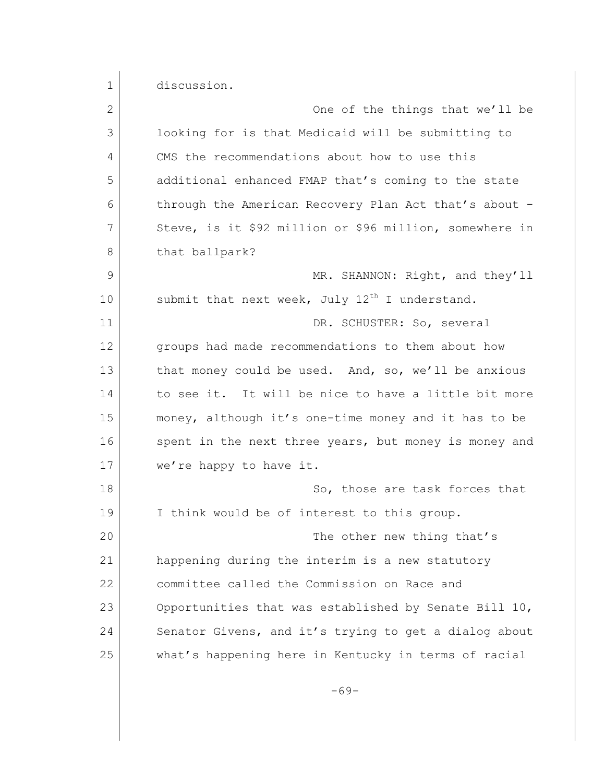1 discussion. 2 One of the things that we'll be 3 looking for is that Medicaid will be submitting to 4 CMS the recommendations about how to use this 5 additional enhanced FMAP that's coming to the state 6 through the American Recovery Plan Act that's about - 7 Steve, is it \$92 million or \$96 million, somewhere in 8 that ballpark? 9 MR. SHANNON: Right, and they'll 10 submit that next week, July  $12^{th}$  I understand. 11 DR. SCHUSTER: So, several 12 groups had made recommendations to them about how 13 that money could be used. And, so, we'll be anxious 14 to see it. It will be nice to have a little bit more 15 money, although it's one-time money and it has to be 16 spent in the next three years, but money is money and 17 we're happy to have it. 18 So, those are task forces that 19 I think would be of interest to this group. 20 The other new thing that's 21 happening during the interim is a new statutory 22 committee called the Commission on Race and 23 Opportunities that was established by Senate Bill 10, 24 Senator Givens, and it's trying to get a dialog about 25 what's happening here in Kentucky in terms of racial

-69-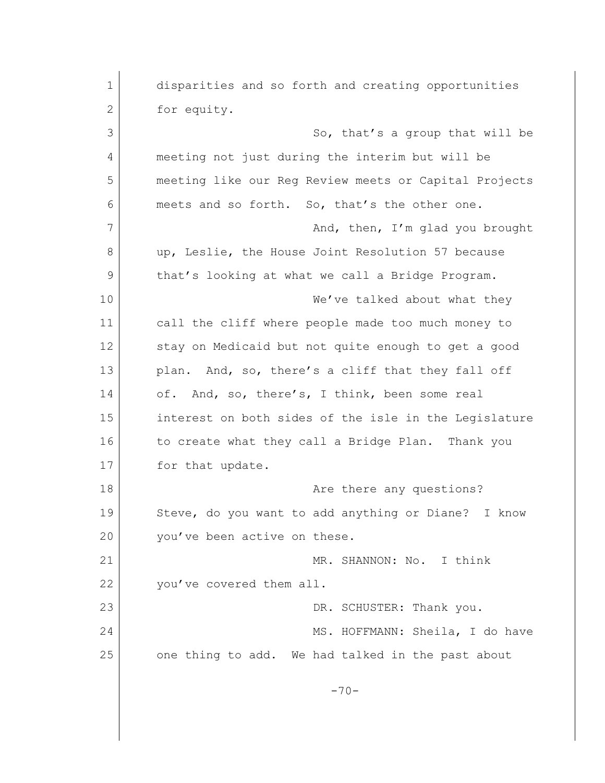| 1  | disparities and so forth and creating opportunities   |
|----|-------------------------------------------------------|
| 2  | for equity.                                           |
| 3  | So, that's a group that will be                       |
| 4  | meeting not just during the interim but will be       |
| 5  | meeting like our Reg Review meets or Capital Projects |
| 6  | meets and so forth. So, that's the other one.         |
| 7  | And, then, I'm glad you brought                       |
| 8  | up, Leslie, the House Joint Resolution 57 because     |
| 9  | that's looking at what we call a Bridge Program.      |
| 10 | We've talked about what they                          |
| 11 | call the cliff where people made too much money to    |
| 12 | stay on Medicaid but not quite enough to get a good   |
| 13 | And, so, there's a cliff that they fall off<br>plan.  |
| 14 | of. And, so, there's, I think, been some real         |
| 15 | interest on both sides of the isle in the Legislature |
| 16 | to create what they call a Bridge Plan. Thank you     |
| 17 | for that update.                                      |
| 18 | Are there any questions?                              |
| 19 | Steve, do you want to add anything or Diane? I know   |
| 20 | you've been active on these.                          |
| 21 | MR. SHANNON: No.<br>I think                           |
| 22 | you've covered them all.                              |
| 23 | DR. SCHUSTER: Thank you.                              |
| 24 | MS. HOFFMANN: Sheila, I do have                       |
| 25 | one thing to add. We had talked in the past about     |
|    | $-70-$                                                |
|    |                                                       |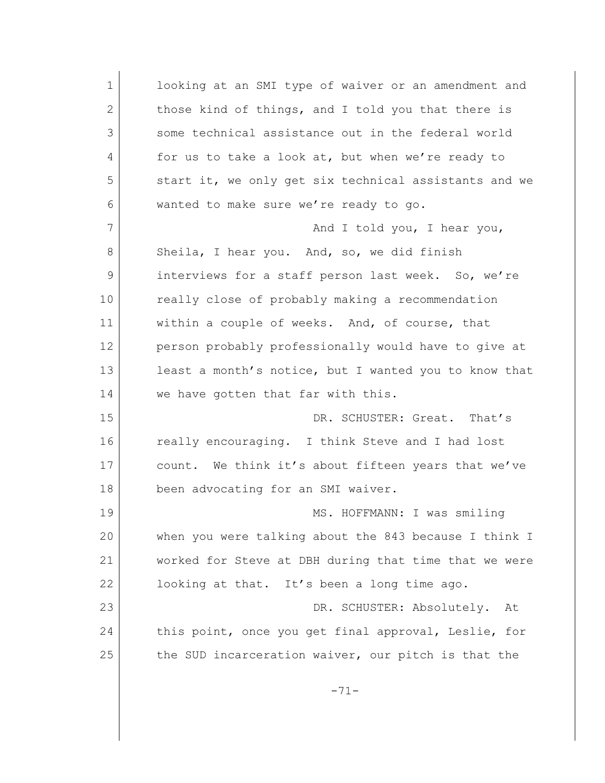1 looking at an SMI type of waiver or an amendment and 2 those kind of things, and I told you that there is 3 some technical assistance out in the federal world 4 for us to take a look at, but when we're ready to 5 start it, we only get six technical assistants and we 6 wanted to make sure we're ready to go. 7 And I told you, I hear you, 8 Sheila, I hear you. And, so, we did finish 9 interviews for a staff person last week. So, we're 10 really close of probably making a recommendation 11 within a couple of weeks. And, of course, that 12 person probably professionally would have to give at 13 least a month's notice, but I wanted you to know that 14 we have gotten that far with this. 15 DR. SCHUSTER: Great. That's 16 really encouraging. I think Steve and I had lost 17 count. We think it's about fifteen years that we've 18 been advocating for an SMI waiver. 19 MS. HOFFMANN: I was smiling 20 when you were talking about the 843 because I think I 21 worked for Steve at DBH during that time that we were 22 looking at that. It's been a long time ago. 23 | DR. SCHUSTER: Absolutely. At 24 this point, once you get final approval, Leslie, for 25 the SUD incarceration waiver, our pitch is that the -71-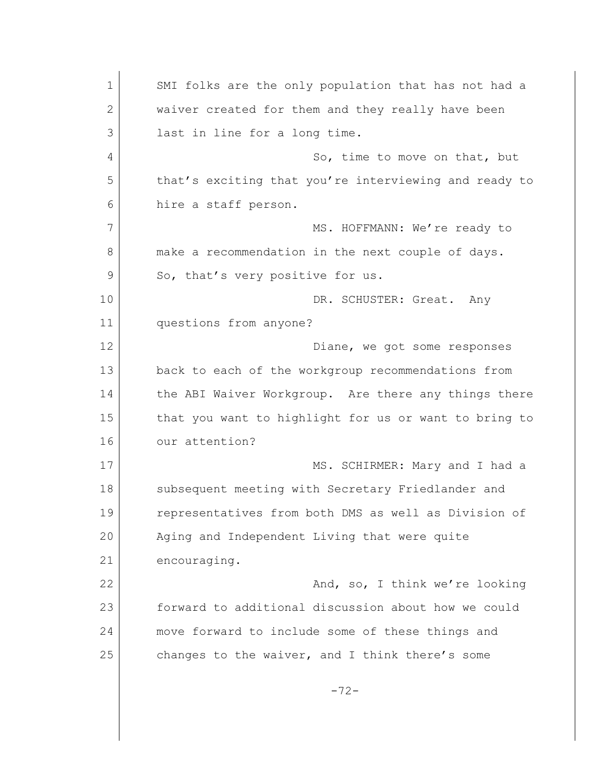1 SMI folks are the only population that has not had a 2 waiver created for them and they really have been 3 last in line for a long time. 4 So, time to move on that, but 5 that's exciting that you're interviewing and ready to 6 hire a staff person. 7 MS. HOFFMANN: We're ready to 8 make a recommendation in the next couple of days. 9 So, that's very positive for us. 10 DR. SCHUSTER: Great. Any 11 questions from anyone? 12 Diane, we got some responses 13 back to each of the workgroup recommendations from 14 the ABI Waiver Workgroup. Are there any things there 15 | that you want to highlight for us or want to bring to 16 our attention? 17 MS. SCHIRMER: Mary and I had a 18 Subsequent meeting with Secretary Friedlander and 19 representatives from both DMS as well as Division of 20 Aging and Independent Living that were quite 21 encouraging. 22 And, so, I think we're looking 23 forward to additional discussion about how we could 24 move forward to include some of these things and 25 changes to the waiver, and I think there's some -72-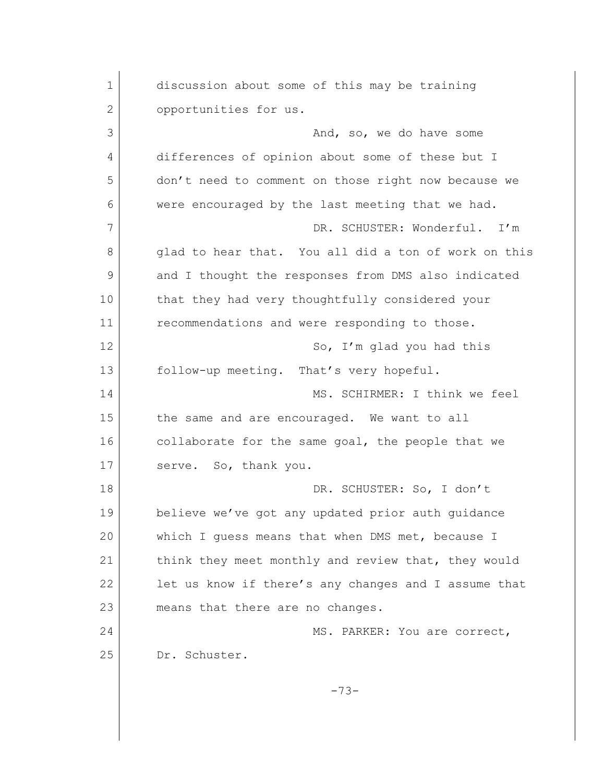1 discussion about some of this may be training 2 opportunities for us. 3 And, so, we do have some 4 differences of opinion about some of these but I 5 don't need to comment on those right now because we 6 were encouraged by the last meeting that we had. 7 DR. SCHUSTER: Wonderful. I'm 8 | glad to hear that. You all did a ton of work on this 9 and I thought the responses from DMS also indicated 10 that they had very thoughtfully considered your 11 **c** recommendations and were responding to those. 12 So, I'm glad you had this 13 follow-up meeting. That's very hopeful. 14 MS. SCHIRMER: I think we feel 15 the same and are encouraged. We want to all 16 collaborate for the same goal, the people that we 17 serve. So, thank you. 18 DR. SCHUSTER: So, I don't 19 believe we've got any updated prior auth guidance 20 which I guess means that when DMS met, because I 21 think they meet monthly and review that, they would 22 let us know if there's any changes and I assume that 23 means that there are no changes. 24 MS. PARKER: You are correct, 25 Dr. Schuster. -73-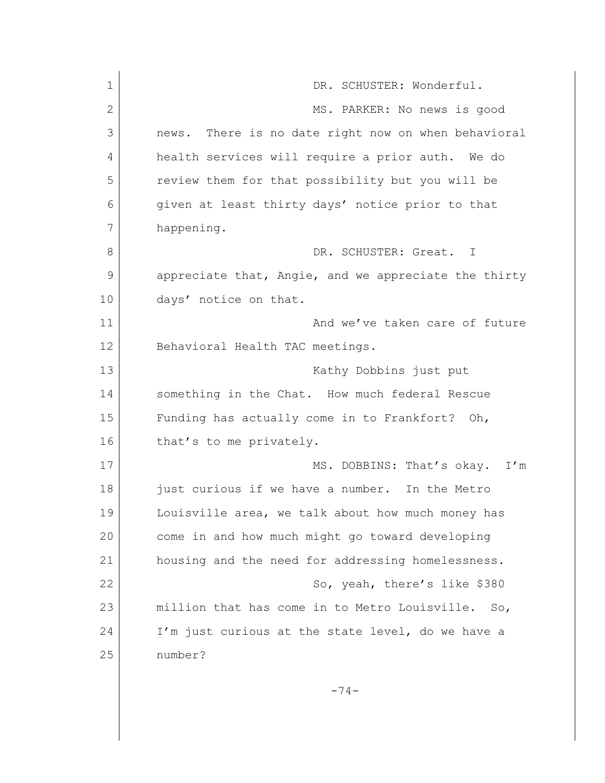| $\mathbf 1$  | DR. SCHUSTER: Wonderful.                             |
|--------------|------------------------------------------------------|
| $\mathbf{2}$ | MS. PARKER: No news is good                          |
| 3            | news. There is no date right now on when behavioral  |
| 4            | health services will require a prior auth. We do     |
| 5            | review them for that possibility but you will be     |
| 6            | given at least thirty days' notice prior to that     |
| 7            | happening.                                           |
| 8            | DR. SCHUSTER: Great.<br>$\top$                       |
| 9            | appreciate that, Angie, and we appreciate the thirty |
| 10           | days' notice on that.                                |
| 11           | And we've taken care of future                       |
| 12           | Behavioral Health TAC meetings.                      |
| 13           | Kathy Dobbins just put                               |
| 14           | something in the Chat. How much federal Rescue       |
| 15           | Funding has actually come in to Frankfort? Oh,       |
| 16           | that's to me privately.                              |
| 17           | MS. DOBBINS: That's okay.<br>I'm                     |
| 18           | just curious if we have a number. In the Metro       |
| 19           | Louisville area, we talk about how much money has    |
| 20           | come in and how much might go toward developing      |
| 21           | housing and the need for addressing homelessness.    |
| 22           | So, yeah, there's like \$380                         |
| 23           | million that has come in to Metro Louisville. So,    |
| 24           | I'm just curious at the state level, do we have a    |
| 25           | number?                                              |
|              | $-74-$                                               |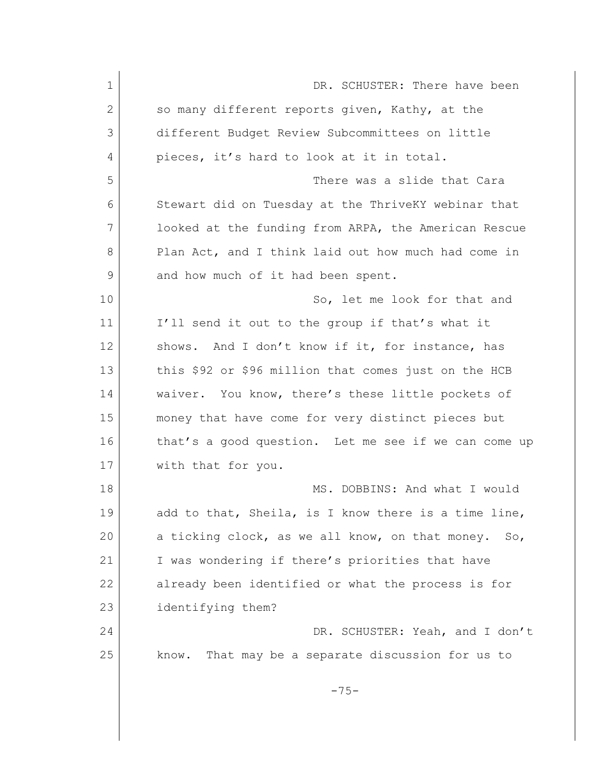| $\mathbf 1$ | DR. SCHUSTER: There have been                                      |
|-------------|--------------------------------------------------------------------|
| 2           | so many different reports given, Kathy, at the                     |
| 3           | different Budget Review Subcommittees on little                    |
| 4           | pieces, it's hard to look at it in total.                          |
| 5           | There was a slide that Cara                                        |
| 6           | Stewart did on Tuesday at the ThriveKY webinar that                |
| 7           | looked at the funding from ARPA, the American Rescue               |
| 8           | Plan Act, and I think laid out how much had come in                |
| 9           | and how much of it had been spent.                                 |
| 10          | So, let me look for that and                                       |
| 11          | I'll send it out to the group if that's what it                    |
| 12          | And I don't know if it, for instance, has<br>shows.                |
| 13          | this \$92 or \$96 million that comes just on the HCB               |
| 14          | waiver. You know, there's these little pockets of                  |
| 15          | money that have come for very distinct pieces but                  |
| 16          | that's a good question. Let me see if we can come up               |
| 17          | with that for you.                                                 |
| 18          | MS. DOBBINS: And what I would                                      |
| 19          | add to that, Sheila, is I know there is a time line,               |
| 20          | a ticking clock, as we all know, on that money.<br>SO <sub>2</sub> |
| 21          | I was wondering if there's priorities that have                    |
| 22          | already been identified or what the process is for                 |
| 23          | identifying them?                                                  |
| 24          | DR. SCHUSTER: Yeah, and I don't                                    |
| 25          | That may be a separate discussion for us to<br>know.               |
|             | $-75-$                                                             |
|             |                                                                    |
|             |                                                                    |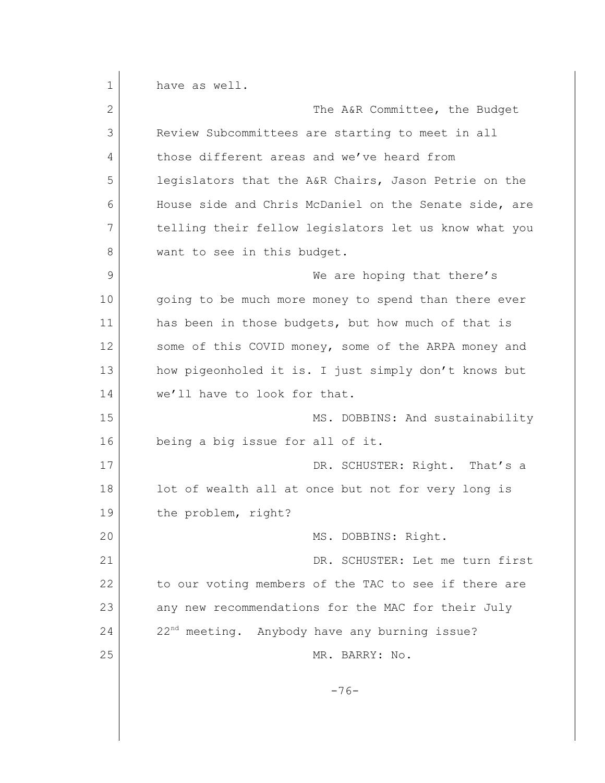1 have as well. 2 The A&R Committee, the Budget 3 Review Subcommittees are starting to meet in all 4 those different areas and we've heard from 5 legislators that the A&R Chairs, Jason Petrie on the 6 House side and Chris McDaniel on the Senate side, are 7 telling their fellow legislators let us know what you 8 want to see in this budget. 9 We are hoping that there's 10 | going to be much more money to spend than there ever 11 | has been in those budgets, but how much of that is 12 some of this COVID money, some of the ARPA money and 13 how pigeonholed it is. I just simply don't knows but 14 we'll have to look for that. 15 MS. DOBBINS: And sustainability 16 being a big issue for all of it. 17 DR. SCHUSTER: Right. That's a 18 lot of wealth all at once but not for very long is 19 the problem, right? 20 MS. DOBBINS: Right. 21 DR. SCHUSTER: Let me turn first 22 to our voting members of the TAC to see if there are 23 any new recommendations for the MAC for their July  $24$  22<sup>nd</sup> meeting. Anybody have any burning issue? 25 MR. BARRY: No. -76-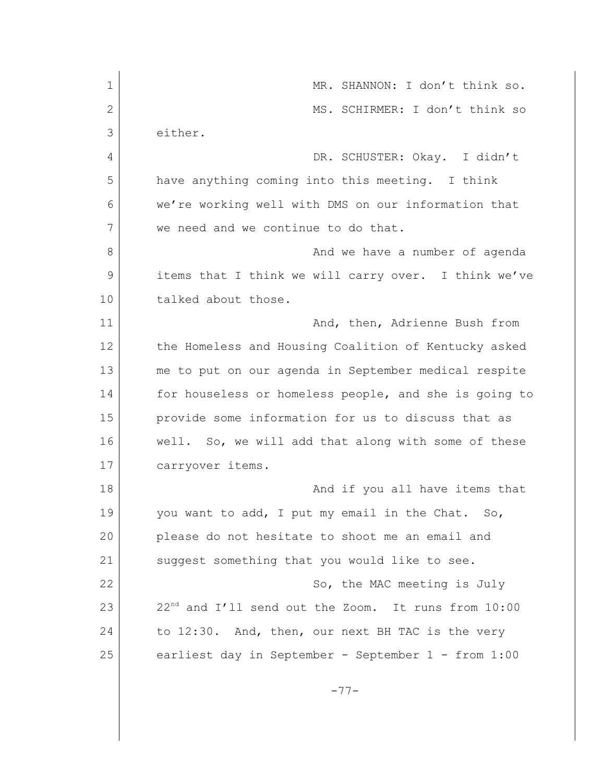| $\mathbf 1$ | MR. SHANNON: I don't think so.                                  |
|-------------|-----------------------------------------------------------------|
| 2           | MS. SCHIRMER: I don't think so                                  |
| 3           | either.                                                         |
| 4           | DR. SCHUSTER: Okay. I didn't                                    |
| 5           | have anything coming into this meeting. I think                 |
| 6           | we're working well with DMS on our information that             |
| 7           | we need and we continue to do that.                             |
| 8           | And we have a number of agenda                                  |
| 9           | items that I think we will carry over. I think we've            |
| 10          | talked about those.                                             |
| 11          | And, then, Adrienne Bush from                                   |
| 12          | the Homeless and Housing Coalition of Kentucky asked            |
| 13          | me to put on our agenda in September medical respite            |
| 14          | for houseless or homeless people, and she is going to           |
| 15          | provide some information for us to discuss that as              |
| 16          | well. So, we will add that along with some of these             |
| 17          | carryover items.                                                |
| 18          | And if you all have items that                                  |
| 19          | you want to add, I put my email in the Chat. So,                |
| 20          | please do not hesitate to shoot me an email and                 |
| 21          | suggest something that you would like to see.                   |
| 22          | So, the MAC meeting is July                                     |
| 23          | 22 <sup>nd</sup> and I'll send out the Zoom. It runs from 10:00 |
| 24          | to 12:30. And, then, our next BH TAC is the very                |
| 25          | earliest day in September - September 1 - from 1:00             |
|             |                                                                 |
|             | $-77-$                                                          |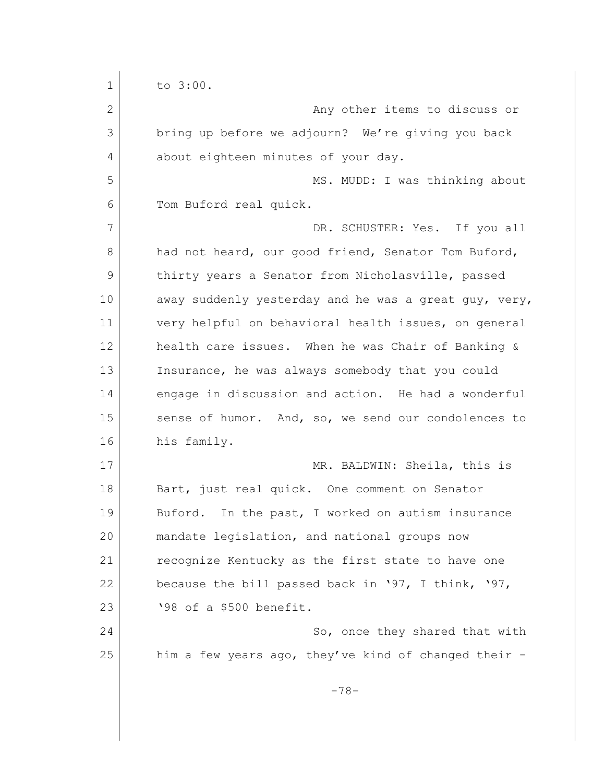| $\mathbf 1$ | to 3:00.                                              |
|-------------|-------------------------------------------------------|
| 2           | Any other items to discuss or                         |
| 3           | bring up before we adjourn? We're giving you back     |
| 4           | about eighteen minutes of your day.                   |
| 5           | MS. MUDD: I was thinking about                        |
| 6           | Tom Buford real quick.                                |
| 7           | DR. SCHUSTER: Yes. If you all                         |
| 8           | had not heard, our good friend, Senator Tom Buford,   |
| 9           | thirty years a Senator from Nicholasville, passed     |
| 10          | away suddenly yesterday and he was a great guy, very, |
| 11          | very helpful on behavioral health issues, on general  |
| 12          | health care issues. When he was Chair of Banking &    |
| 13          | Insurance, he was always somebody that you could      |
| 14          | engage in discussion and action. He had a wonderful   |
| 15          | sense of humor. And, so, we send our condolences to   |
| 16          | his family.                                           |
| 17          | MR. BALDWIN: Sheila, this is                          |
| 18          | Bart, just real quick. One comment on Senator         |
| 19          | Buford. In the past, I worked on autism insurance     |
| 20          | mandate legislation, and national groups now          |
| 21          | recognize Kentucky as the first state to have one     |
| 22          | because the bill passed back in '97, I think, '97,    |
| 23          | '98 of a \$500 benefit.                               |
| 24          | So, once they shared that with                        |
| 25          | him a few years ago, they've kind of changed their -  |
|             | $-78-$                                                |
|             |                                                       |